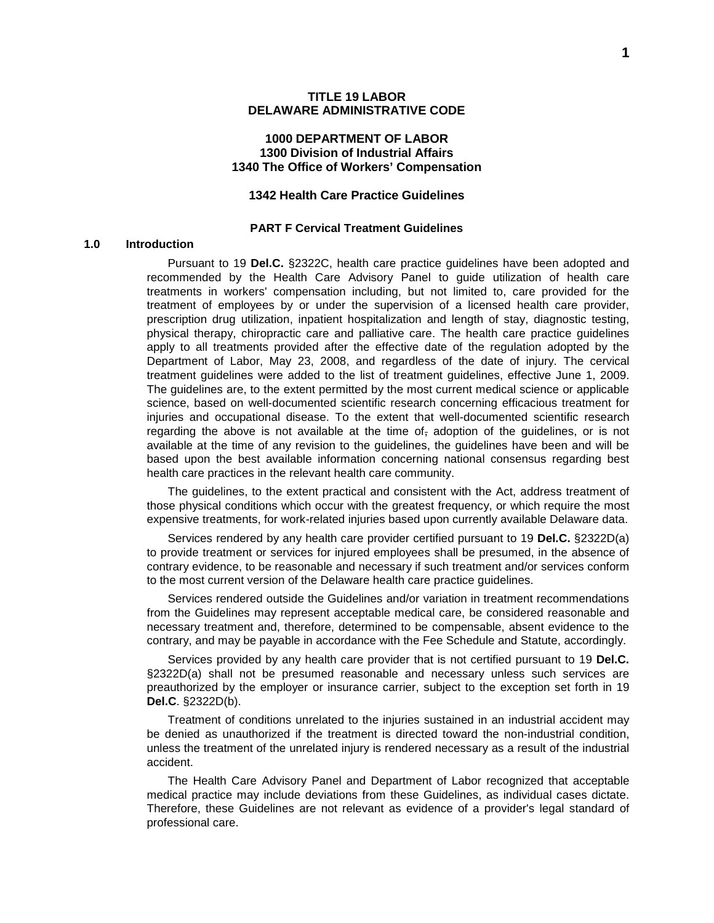#### **1000 DEPARTMENT OF LABOR 1300 Division of Industrial Affairs 1340 The Office of Workers' Compensation**

### **1342 Health Care Practice Guidelines**

#### **PART F Cervical Treatment Guidelines**

#### **1.0 Introduction**

Pursuant to 19 **Del.C.** §2322C, health care practice guidelines have been adopted and recommended by the Health Care Advisory Panel to guide utilization of health care treatments in workers' compensation including, but not limited to, care provided for the treatment of employees by or under the supervision of a licensed health care provider, prescription drug utilization, inpatient hospitalization and length of stay, diagnostic testing, physical therapy, chiropractic care and palliative care. The health care practice guidelines apply to all treatments provided after the effective date of the regulation adopted by the Department of Labor, May 23, 2008, and regardless of the date of injury. The cervical treatment guidelines were added to the list of treatment guidelines, effective June 1, 2009. The guidelines are, to the extent permitted by the most current medical science or applicable science, based on well-documented scientific research concerning efficacious treatment for injuries and occupational disease. To the extent that well-documented scientific research regarding the above is not available at the time of<sub> $<sub>5</sub>$ </sub> adoption of the guidelines, or is not</sub> available at the time of any revision to the guidelines, the guidelines have been and will be based upon the best available information concerning national consensus regarding best health care practices in the relevant health care community.

The guidelines, to the extent practical and consistent with the Act, address treatment of those physical conditions which occur with the greatest frequency, or which require the most expensive treatments, for work-related injuries based upon currently available Delaware data.

Services rendered by any health care provider certified pursuant to 19 **Del.C.** §2322D(a) to provide treatment or services for injured employees shall be presumed, in the absence of contrary evidence, to be reasonable and necessary if such treatment and/or services conform to the most current version of the Delaware health care practice guidelines.

Services rendered outside the Guidelines and/or variation in treatment recommendations from the Guidelines may represent acceptable medical care, be considered reasonable and necessary treatment and, therefore, determined to be compensable, absent evidence to the contrary, and may be payable in accordance with the Fee Schedule and Statute, accordingly.

Services provided by any health care provider that is not certified pursuant to 19 **Del.C.**  §2322D(a) shall not be presumed reasonable and necessary unless such services are preauthorized by the employer or insurance carrier, subject to the exception set forth in 19 **Del.C**. §2322D(b).

Treatment of conditions unrelated to the injuries sustained in an industrial accident may be denied as unauthorized if the treatment is directed toward the non-industrial condition, unless the treatment of the unrelated injury is rendered necessary as a result of the industrial accident.

The Health Care Advisory Panel and Department of Labor recognized that acceptable medical practice may include deviations from these Guidelines, as individual cases dictate. Therefore, these Guidelines are not relevant as evidence of a provider's legal standard of professional care.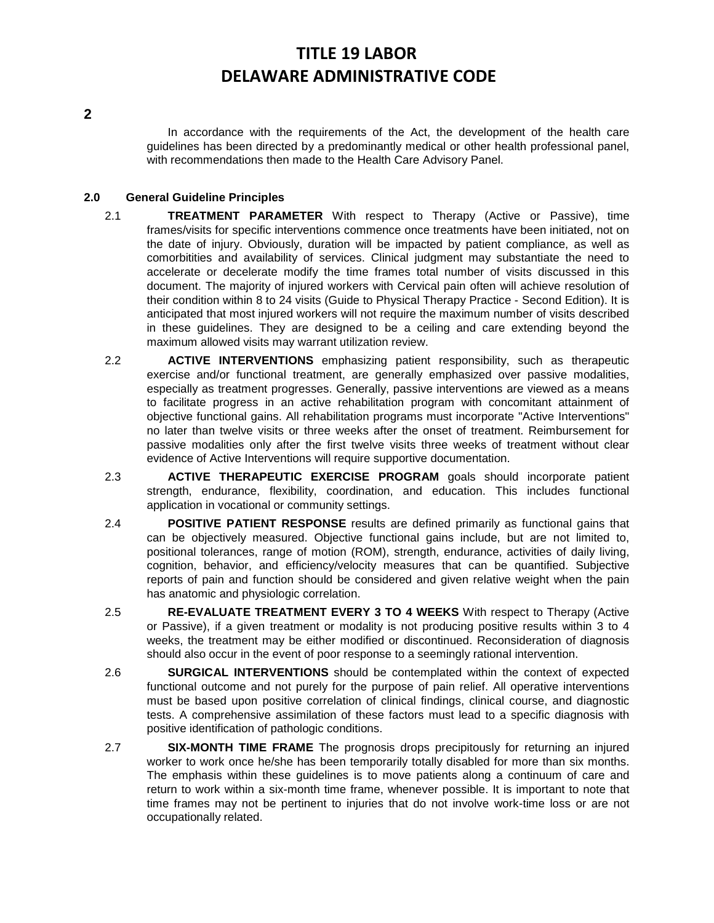**2**

In accordance with the requirements of the Act, the development of the health care guidelines has been directed by a predominantly medical or other health professional panel, with recommendations then made to the Health Care Advisory Panel.

### **2.0 General Guideline Principles**

- 2.1 **TREATMENT PARAMETER** With respect to Therapy (Active or Passive), time frames/visits for specific interventions commence once treatments have been initiated, not on the date of injury. Obviously, duration will be impacted by patient compliance, as well as comorbitities and availability of services. Clinical judgment may substantiate the need to accelerate or decelerate modify the time frames total number of visits discussed in this document. The majority of injured workers with Cervical pain often will achieve resolution of their condition within 8 to 24 visits (Guide to Physical Therapy Practice - Second Edition). It is anticipated that most injured workers will not require the maximum number of visits described in these guidelines. They are designed to be a ceiling and care extending beyond the maximum allowed visits may warrant utilization review.
- 2.2 **ACTIVE INTERVENTIONS** emphasizing patient responsibility, such as therapeutic exercise and/or functional treatment, are generally emphasized over passive modalities, especially as treatment progresses. Generally, passive interventions are viewed as a means to facilitate progress in an active rehabilitation program with concomitant attainment of objective functional gains. All rehabilitation programs must incorporate "Active Interventions" no later than twelve visits or three weeks after the onset of treatment. Reimbursement for passive modalities only after the first twelve visits three weeks of treatment without clear evidence of Active Interventions will require supportive documentation.
- 2.3 **ACTIVE THERAPEUTIC EXERCISE PROGRAM** goals should incorporate patient strength, endurance, flexibility, coordination, and education. This includes functional application in vocational or community settings.
- 2.4 **POSITIVE PATIENT RESPONSE** results are defined primarily as functional gains that can be objectively measured. Objective functional gains include, but are not limited to, positional tolerances, range of motion (ROM), strength, endurance, activities of daily living, cognition, behavior, and efficiency/velocity measures that can be quantified. Subjective reports of pain and function should be considered and given relative weight when the pain has anatomic and physiologic correlation.
- 2.5 **RE-EVALUATE TREATMENT EVERY 3 TO 4 WEEKS** With respect to Therapy (Active or Passive), if a given treatment or modality is not producing positive results within 3 to 4 weeks, the treatment may be either modified or discontinued. Reconsideration of diagnosis should also occur in the event of poor response to a seemingly rational intervention.
- 2.6 **SURGICAL INTERVENTIONS** should be contemplated within the context of expected functional outcome and not purely for the purpose of pain relief. All operative interventions must be based upon positive correlation of clinical findings, clinical course, and diagnostic tests. A comprehensive assimilation of these factors must lead to a specific diagnosis with positive identification of pathologic conditions.
- 2.7 **SIX-MONTH TIME FRAME** The prognosis drops precipitously for returning an injured worker to work once he/she has been temporarily totally disabled for more than six months. The emphasis within these guidelines is to move patients along a continuum of care and return to work within a six-month time frame, whenever possible. It is important to note that time frames may not be pertinent to injuries that do not involve work-time loss or are not occupationally related.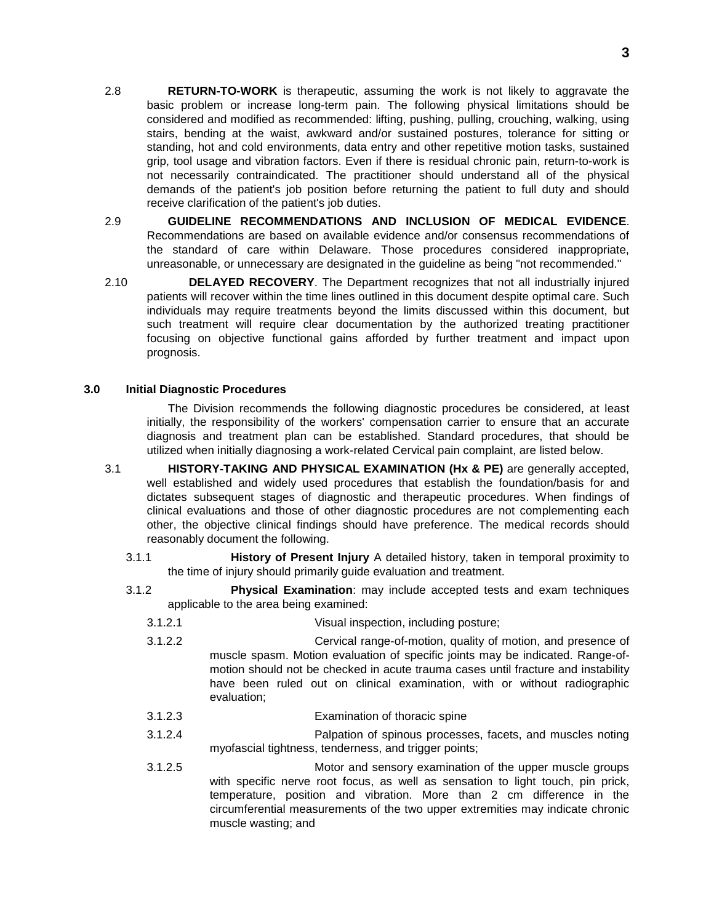- 2.8 **RETURN-TO-WORK** is therapeutic, assuming the work is not likely to aggravate the basic problem or increase long-term pain. The following physical limitations should be considered and modified as recommended: lifting, pushing, pulling, crouching, walking, using stairs, bending at the waist, awkward and/or sustained postures, tolerance for sitting or standing, hot and cold environments, data entry and other repetitive motion tasks, sustained grip, tool usage and vibration factors. Even if there is residual chronic pain, return-to-work is not necessarily contraindicated. The practitioner should understand all of the physical demands of the patient's job position before returning the patient to full duty and should receive clarification of the patient's job duties.
- 2.9 **GUIDELINE RECOMMENDATIONS AND INCLUSION OF MEDICAL EVIDENCE**. Recommendations are based on available evidence and/or consensus recommendations of the standard of care within Delaware. Those procedures considered inappropriate, unreasonable, or unnecessary are designated in the guideline as being "not recommended."
- 2.10 **DELAYED RECOVERY**. The Department recognizes that not all industrially injured patients will recover within the time lines outlined in this document despite optimal care. Such individuals may require treatments beyond the limits discussed within this document, but such treatment will require clear documentation by the authorized treating practitioner focusing on objective functional gains afforded by further treatment and impact upon prognosis.

#### **3.0 Initial Diagnostic Procedures**

The Division recommends the following diagnostic procedures be considered, at least initially, the responsibility of the workers' compensation carrier to ensure that an accurate diagnosis and treatment plan can be established. Standard procedures, that should be utilized when initially diagnosing a work-related Cervical pain complaint, are listed below.

- 3.1 **HISTORY-TAKING AND PHYSICAL EXAMINATION (Hx & PE)** are generally accepted, well established and widely used procedures that establish the foundation/basis for and dictates subsequent stages of diagnostic and therapeutic procedures. When findings of clinical evaluations and those of other diagnostic procedures are not complementing each other, the objective clinical findings should have preference. The medical records should reasonably document the following.
	- 3.1.1 **History of Present Injury** A detailed history, taken in temporal proximity to the time of injury should primarily guide evaluation and treatment.
	- 3.1.2 **Physical Examination**: may include accepted tests and exam techniques applicable to the area being examined:
		- 3.1.2.1 Visual inspection, including posture;
		- 3.1.2.2 Cervical range-of-motion, quality of motion, and presence of muscle spasm. Motion evaluation of specific joints may be indicated. Range-ofmotion should not be checked in acute trauma cases until fracture and instability have been ruled out on clinical examination, with or without radiographic evaluation;
		- 3.1.2.3 Examination of thoracic spine
		- 3.1.2.4 Palpation of spinous processes, facets, and muscles noting myofascial tightness, tenderness, and trigger points;
		- 3.1.2.5 Motor and sensory examination of the upper muscle groups with specific nerve root focus, as well as sensation to light touch, pin prick, temperature, position and vibration. More than 2 cm difference in the circumferential measurements of the two upper extremities may indicate chronic muscle wasting; and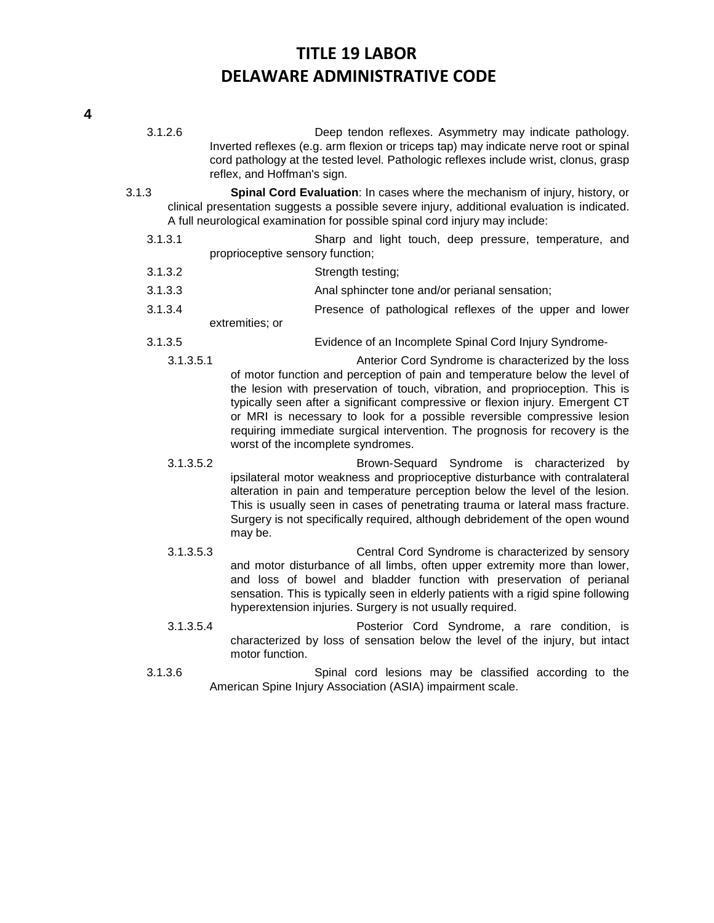- 3.1.2.6 Deep tendon reflexes. Asymmetry may indicate pathology. Inverted reflexes (e.g. arm flexion or triceps tap) may indicate nerve root or spinal cord pathology at the tested level. Pathologic reflexes include wrist, clonus, grasp reflex, and Hoffman's sign.
- 3.1.3 **Spinal Cord Evaluation**: In cases where the mechanism of injury, history, or clinical presentation suggests a possible severe injury, additional evaluation is indicated. A full neurological examination for possible spinal cord injury may include:
	- 3.1.3.1 Sharp and light touch, deep pressure, temperature, and proprioceptive sensory function;
	- 3.1.3.2 Strength testing;
	- 3.1.3.3 Anal sphincter tone and/or perianal sensation;
	- 3.1.3.4 Presence of pathological reflexes of the upper and lower extremities; or
	- 3.1.3.5 Evidence of an Incomplete Spinal Cord Injury Syndrome-
		- 3.1.3.5.1 Anterior Cord Syndrome is characterized by the loss of motor function and perception of pain and temperature below the level of the lesion with preservation of touch, vibration, and proprioception. This is typically seen after a significant compressive or flexion injury. Emergent CT or MRI is necessary to look for a possible reversible compressive lesion requiring immediate surgical intervention. The prognosis for recovery is the worst of the incomplete syndromes.
		- 3.1.3.5.2 Brown-Sequard Syndrome is characterized by ipsilateral motor weakness and proprioceptive disturbance with contralateral alteration in pain and temperature perception below the level of the lesion. This is usually seen in cases of penetrating trauma or lateral mass fracture. Surgery is not specifically required, although debridement of the open wound may be.
		- 3.1.3.5.3 Central Cord Syndrome is characterized by sensory and motor disturbance of all limbs, often upper extremity more than lower, and loss of bowel and bladder function with preservation of perianal sensation. This is typically seen in elderly patients with a rigid spine following hyperextension injuries. Surgery is not usually required.
		- 3.1.3.5.4 Posterior Cord Syndrome, a rare condition, is characterized by loss of sensation below the level of the injury, but intact motor function.
	- 3.1.3.6 Spinal cord lesions may be classified according to the American Spine Injury Association (ASIA) impairment scale.

**4**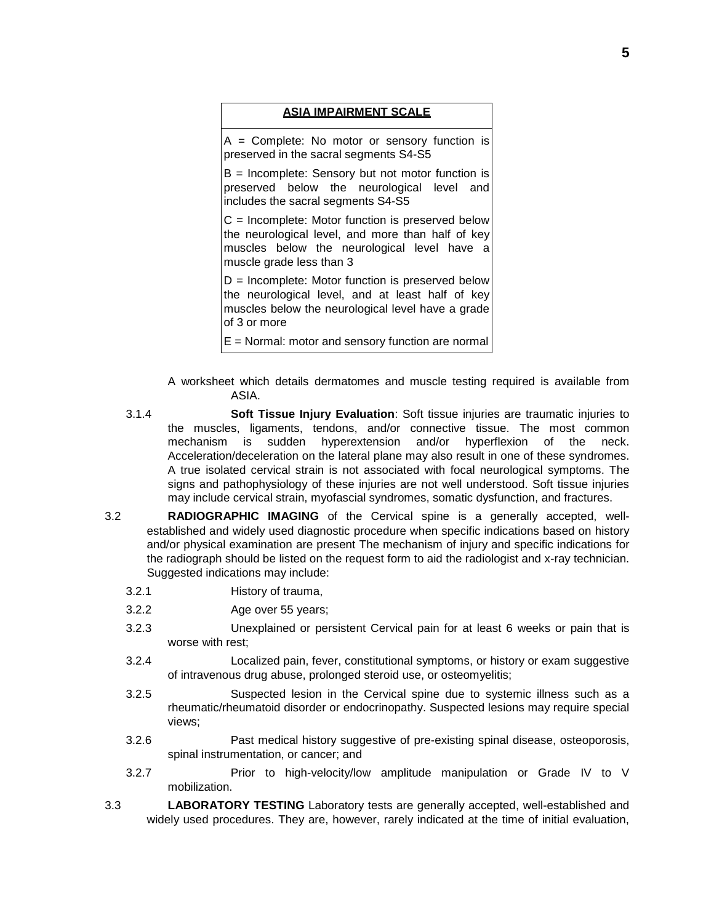#### **ASIA IMPAIRMENT SCALE**

 $A =$  Complete: No motor or sensory function is preserved in the sacral segments S4-S5

B = Incomplete: Sensory but not motor function is preserved below the neurological level and includes the sacral segments S4-S5

 $C =$  Incomplete: Motor function is preserved below the neurological level, and more than half of key muscles below the neurological level have a muscle grade less than 3

 $D =$  Incomplete: Motor function is preserved below the neurological level, and at least half of key muscles below the neurological level have a grade of 3 or more

 $E =$  Normal: motor and sensory function are normal

- A worksheet which details dermatomes and muscle testing required is available from ASIA.
- 3.1.4 **Soft Tissue Injury Evaluation**: Soft tissue injuries are traumatic injuries to the muscles, ligaments, tendons, and/or connective tissue. The most common mechanism is sudden hyperextension and/or hyperflexion of the neck. Acceleration/deceleration on the lateral plane may also result in one of these syndromes. A true isolated cervical strain is not associated with focal neurological symptoms. The signs and pathophysiology of these injuries are not well understood. Soft tissue injuries may include cervical strain, myofascial syndromes, somatic dysfunction, and fractures.
- 3.2 **RADIOGRAPHIC IMAGING** of the Cervical spine is a generally accepted, wellestablished and widely used diagnostic procedure when specific indications based on history and/or physical examination are present The mechanism of injury and specific indications for the radiograph should be listed on the request form to aid the radiologist and x-ray technician. Suggested indications may include:
	- 3.2.1 History of trauma,
	- 3.2.2 Age over 55 years;
	- 3.2.3 Unexplained or persistent Cervical pain for at least 6 weeks or pain that is worse with rest;
	- 3.2.4 Localized pain, fever, constitutional symptoms, or history or exam suggestive of intravenous drug abuse, prolonged steroid use, or osteomyelitis;
	- 3.2.5 Suspected lesion in the Cervical spine due to systemic illness such as a rheumatic/rheumatoid disorder or endocrinopathy. Suspected lesions may require special views;
	- 3.2.6 Past medical history suggestive of pre-existing spinal disease, osteoporosis, spinal instrumentation, or cancer; and
	- 3.2.7 Prior to high-velocity/low amplitude manipulation or Grade IV to V mobilization.
- 3.3 **LABORATORY TESTING** Laboratory tests are generally accepted, well-established and widely used procedures. They are, however, rarely indicated at the time of initial evaluation,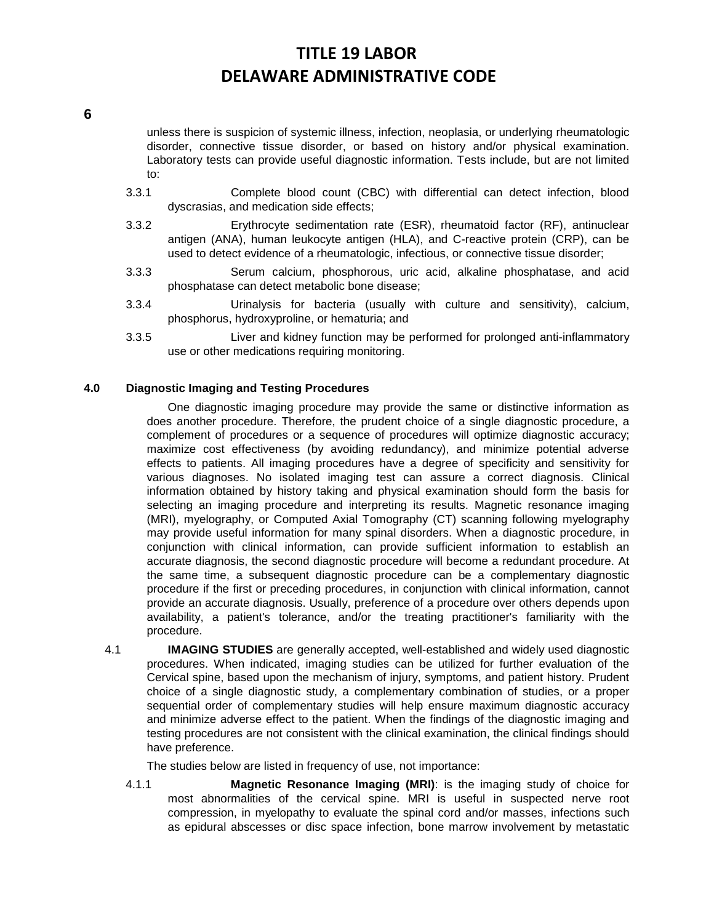**6**

unless there is suspicion of systemic illness, infection, neoplasia, or underlying rheumatologic disorder, connective tissue disorder, or based on history and/or physical examination. Laboratory tests can provide useful diagnostic information. Tests include, but are not limited to:

- 3.3.1 Complete blood count (CBC) with differential can detect infection, blood dyscrasias, and medication side effects;
- 3.3.2 Erythrocyte sedimentation rate (ESR), rheumatoid factor (RF), antinuclear antigen (ANA), human leukocyte antigen (HLA), and C-reactive protein (CRP), can be used to detect evidence of a rheumatologic, infectious, or connective tissue disorder;
- 3.3.3 Serum calcium, phosphorous, uric acid, alkaline phosphatase, and acid phosphatase can detect metabolic bone disease;
- 3.3.4 Urinalysis for bacteria (usually with culture and sensitivity), calcium, phosphorus, hydroxyproline, or hematuria; and
- 3.3.5 Liver and kidney function may be performed for prolonged anti-inflammatory use or other medications requiring monitoring.

# **4.0 Diagnostic Imaging and Testing Procedures**

One diagnostic imaging procedure may provide the same or distinctive information as does another procedure. Therefore, the prudent choice of a single diagnostic procedure, a complement of procedures or a sequence of procedures will optimize diagnostic accuracy; maximize cost effectiveness (by avoiding redundancy), and minimize potential adverse effects to patients. All imaging procedures have a degree of specificity and sensitivity for various diagnoses. No isolated imaging test can assure a correct diagnosis. Clinical information obtained by history taking and physical examination should form the basis for selecting an imaging procedure and interpreting its results. Magnetic resonance imaging (MRI), myelography, or Computed Axial Tomography (CT) scanning following myelography may provide useful information for many spinal disorders. When a diagnostic procedure, in conjunction with clinical information, can provide sufficient information to establish an accurate diagnosis, the second diagnostic procedure will become a redundant procedure. At the same time, a subsequent diagnostic procedure can be a complementary diagnostic procedure if the first or preceding procedures, in conjunction with clinical information, cannot provide an accurate diagnosis. Usually, preference of a procedure over others depends upon availability, a patient's tolerance, and/or the treating practitioner's familiarity with the procedure.

4.1 **IMAGING STUDIES** are generally accepted, well-established and widely used diagnostic procedures. When indicated, imaging studies can be utilized for further evaluation of the Cervical spine, based upon the mechanism of injury, symptoms, and patient history. Prudent choice of a single diagnostic study, a complementary combination of studies, or a proper sequential order of complementary studies will help ensure maximum diagnostic accuracy and minimize adverse effect to the patient. When the findings of the diagnostic imaging and testing procedures are not consistent with the clinical examination, the clinical findings should have preference.

The studies below are listed in frequency of use, not importance:

4.1.1 **Magnetic Resonance Imaging (MRI)**: is the imaging study of choice for most abnormalities of the cervical spine. MRI is useful in suspected nerve root compression, in myelopathy to evaluate the spinal cord and/or masses, infections such as epidural abscesses or disc space infection, bone marrow involvement by metastatic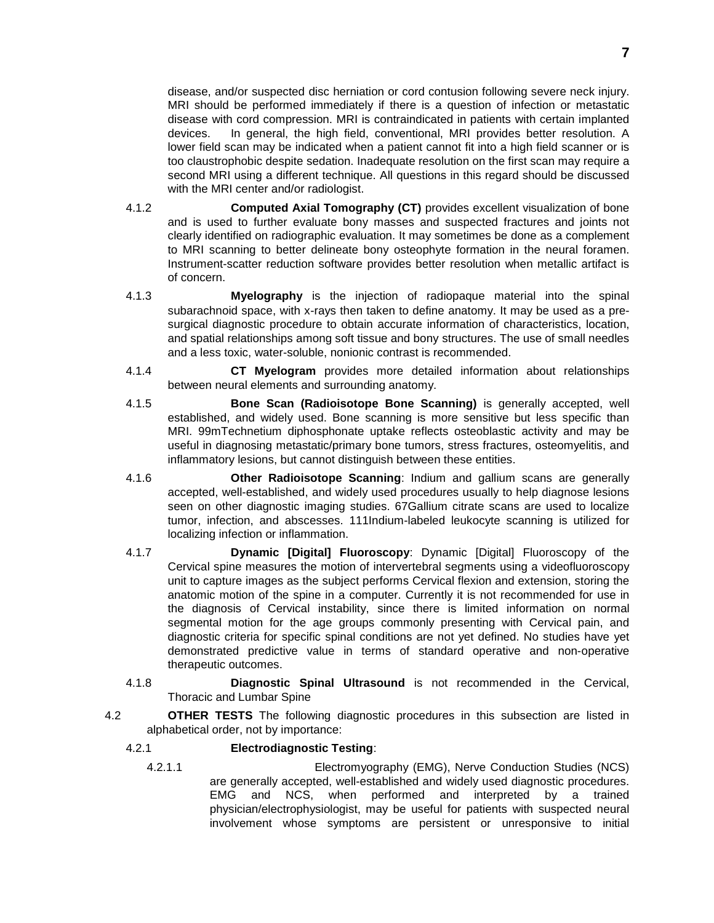disease, and/or suspected disc herniation or cord contusion following severe neck injury. MRI should be performed immediately if there is a question of infection or metastatic disease with cord compression. MRI is contraindicated in patients with certain implanted devices. In general, the high field, conventional, MRI provides better resolution. A lower field scan may be indicated when a patient cannot fit into a high field scanner or is too claustrophobic despite sedation. Inadequate resolution on the first scan may require a second MRI using a different technique. All questions in this regard should be discussed with the MRI center and/or radiologist.

- 4.1.2 **Computed Axial Tomography (CT)** provides excellent visualization of bone and is used to further evaluate bony masses and suspected fractures and joints not clearly identified on radiographic evaluation. It may sometimes be done as a complement to MRI scanning to better delineate bony osteophyte formation in the neural foramen. Instrument-scatter reduction software provides better resolution when metallic artifact is of concern.
- 4.1.3 **Myelography** is the injection of radiopaque material into the spinal subarachnoid space, with x-rays then taken to define anatomy. It may be used as a presurgical diagnostic procedure to obtain accurate information of characteristics, location, and spatial relationships among soft tissue and bony structures. The use of small needles and a less toxic, water-soluble, nonionic contrast is recommended.
- 4.1.4 **CT Myelogram** provides more detailed information about relationships between neural elements and surrounding anatomy.
- 4.1.5 **Bone Scan (Radioisotope Bone Scanning)** is generally accepted, well established, and widely used. Bone scanning is more sensitive but less specific than MRI. 99mTechnetium diphosphonate uptake reflects osteoblastic activity and may be useful in diagnosing metastatic/primary bone tumors, stress fractures, osteomyelitis, and inflammatory lesions, but cannot distinguish between these entities.
- 4.1.6 **Other Radioisotope Scanning**: Indium and gallium scans are generally accepted, well-established, and widely used procedures usually to help diagnose lesions seen on other diagnostic imaging studies. 67Gallium citrate scans are used to localize tumor, infection, and abscesses. 111Indium-labeled leukocyte scanning is utilized for localizing infection or inflammation.
- 4.1.7 **Dynamic [Digital] Fluoroscopy**: Dynamic [Digital] Fluoroscopy of the Cervical spine measures the motion of intervertebral segments using a videofluoroscopy unit to capture images as the subject performs Cervical flexion and extension, storing the anatomic motion of the spine in a computer. Currently it is not recommended for use in the diagnosis of Cervical instability, since there is limited information on normal segmental motion for the age groups commonly presenting with Cervical pain, and diagnostic criteria for specific spinal conditions are not yet defined. No studies have yet demonstrated predictive value in terms of standard operative and non-operative therapeutic outcomes.
- 4.1.8 **Diagnostic Spinal Ultrasound** is not recommended in the Cervical, Thoracic and Lumbar Spine
- 4.2 **OTHER TESTS** The following diagnostic procedures in this subsection are listed in alphabetical order, not by importance:

# 4.2.1 **Electrodiagnostic Testing**:

4.2.1.1 Electromyography (EMG), Nerve Conduction Studies (NCS) are generally accepted, well-established and widely used diagnostic procedures. EMG and NCS, when performed and interpreted by a trained physician/electrophysiologist, may be useful for patients with suspected neural involvement whose symptoms are persistent or unresponsive to initial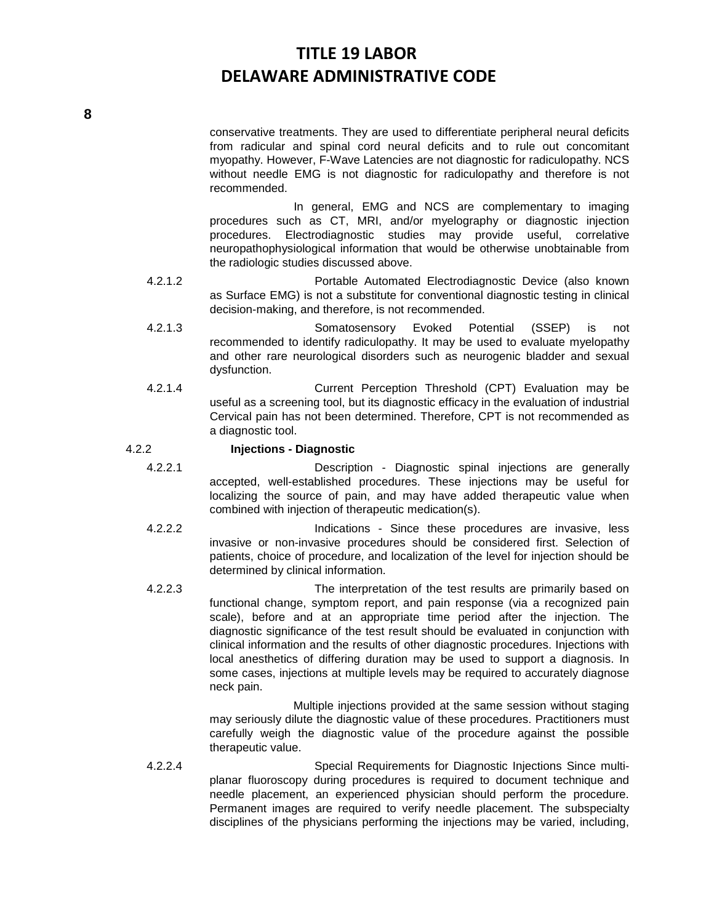conservative treatments. They are used to differentiate peripheral neural deficits from radicular and spinal cord neural deficits and to rule out concomitant myopathy. However, F-Wave Latencies are not diagnostic for radiculopathy. NCS without needle EMG is not diagnostic for radiculopathy and therefore is not recommended.

In general, EMG and NCS are complementary to imaging procedures such as CT, MRI, and/or myelography or diagnostic injection procedures. Electrodiagnostic studies may provide useful, correlative neuropathophysiological information that would be otherwise unobtainable from the radiologic studies discussed above.

- 4.2.1.2 Portable Automated Electrodiagnostic Device (also known as Surface EMG) is not a substitute for conventional diagnostic testing in clinical decision-making, and therefore, is not recommended.
- 4.2.1.3 Somatosensory Evoked Potential (SSEP) is not recommended to identify radiculopathy. It may be used to evaluate myelopathy and other rare neurological disorders such as neurogenic bladder and sexual dysfunction.
- 4.2.1.4 Current Perception Threshold (CPT) Evaluation may be useful as a screening tool, but its diagnostic efficacy in the evaluation of industrial Cervical pain has not been determined. Therefore, CPT is not recommended as a diagnostic tool.

# 4.2.2 **Injections - Diagnostic**

- 4.2.2.1 Description Diagnostic spinal injections are generally accepted, well-established procedures. These injections may be useful for localizing the source of pain, and may have added therapeutic value when combined with injection of therapeutic medication(s).
- 4.2.2.2 Indications Since these procedures are invasive, less invasive or non-invasive procedures should be considered first. Selection of patients, choice of procedure, and localization of the level for injection should be determined by clinical information.
- 4.2.2.3 The interpretation of the test results are primarily based on functional change, symptom report, and pain response (via a recognized pain scale), before and at an appropriate time period after the injection. The diagnostic significance of the test result should be evaluated in conjunction with clinical information and the results of other diagnostic procedures. Injections with local anesthetics of differing duration may be used to support a diagnosis. In some cases, injections at multiple levels may be required to accurately diagnose neck pain.

Multiple injections provided at the same session without staging may seriously dilute the diagnostic value of these procedures. Practitioners must carefully weigh the diagnostic value of the procedure against the possible therapeutic value.

4.2.2.4 Special Requirements for Diagnostic Injections Since multiplanar fluoroscopy during procedures is required to document technique and needle placement, an experienced physician should perform the procedure. Permanent images are required to verify needle placement. The subspecialty disciplines of the physicians performing the injections may be varied, including,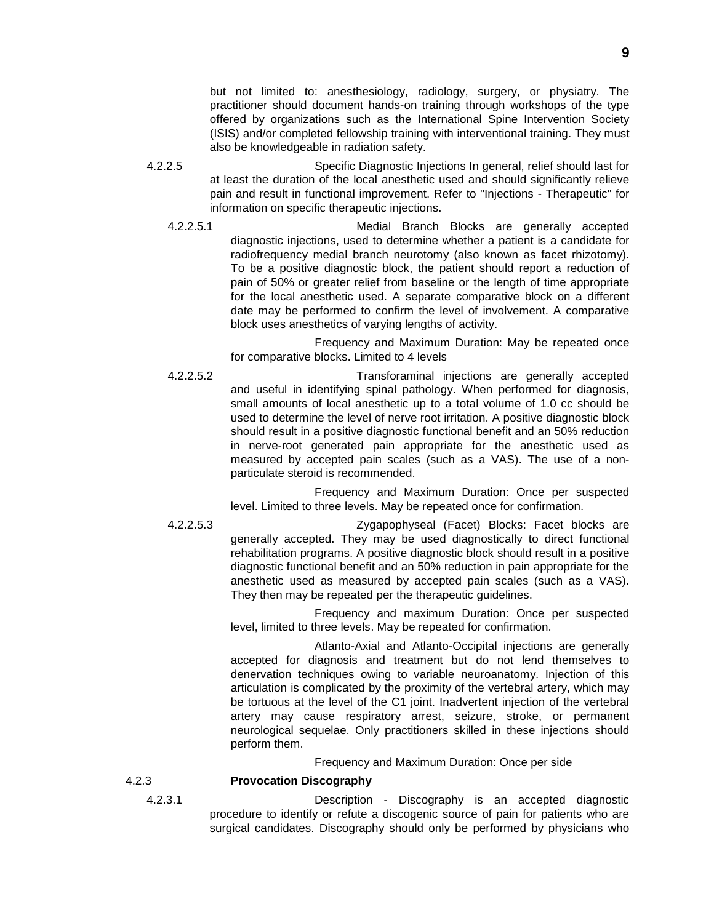but not limited to: anesthesiology, radiology, surgery, or physiatry. The practitioner should document hands-on training through workshops of the type offered by organizations such as the International Spine Intervention Society (ISIS) and/or completed fellowship training with interventional training. They must also be knowledgeable in radiation safety.

4.2.2.5 Specific Diagnostic Injections In general, relief should last for at least the duration of the local anesthetic used and should significantly relieve pain and result in functional improvement. Refer to "Injections - Therapeutic" for information on specific therapeutic injections.

4.2.2.5.1 Medial Branch Blocks are generally accepted diagnostic injections, used to determine whether a patient is a candidate for radiofrequency medial branch neurotomy (also known as facet rhizotomy). To be a positive diagnostic block, the patient should report a reduction of pain of 50% or greater relief from baseline or the length of time appropriate for the local anesthetic used. A separate comparative block on a different date may be performed to confirm the level of involvement. A comparative block uses anesthetics of varying lengths of activity.

> Frequency and Maximum Duration: May be repeated once for comparative blocks. Limited to 4 levels

4.2.2.5.2 Transforaminal injections are generally accepted and useful in identifying spinal pathology. When performed for diagnosis, small amounts of local anesthetic up to a total volume of 1.0 cc should be used to determine the level of nerve root irritation. A positive diagnostic block should result in a positive diagnostic functional benefit and an 50% reduction in nerve-root generated pain appropriate for the anesthetic used as measured by accepted pain scales (such as a VAS). The use of a nonparticulate steroid is recommended.

> Frequency and Maximum Duration: Once per suspected level. Limited to three levels. May be repeated once for confirmation.

4.2.2.5.3 Zygapophyseal (Facet) Blocks: Facet blocks are generally accepted. They may be used diagnostically to direct functional rehabilitation programs. A positive diagnostic block should result in a positive diagnostic functional benefit and an 50% reduction in pain appropriate for the anesthetic used as measured by accepted pain scales (such as a VAS). They then may be repeated per the therapeutic guidelines.

> Frequency and maximum Duration: Once per suspected level, limited to three levels. May be repeated for confirmation.

> Atlanto-Axial and Atlanto-Occipital injections are generally accepted for diagnosis and treatment but do not lend themselves to denervation techniques owing to variable neuroanatomy. Injection of this articulation is complicated by the proximity of the vertebral artery, which may be tortuous at the level of the C1 joint. Inadvertent injection of the vertebral artery may cause respiratory arrest, seizure, stroke, or permanent neurological sequelae. Only practitioners skilled in these injections should perform them.

> > Frequency and Maximum Duration: Once per side

### 4.2.3 **Provocation Discography**

4.2.3.1 Description - Discography is an accepted diagnostic procedure to identify or refute a discogenic source of pain for patients who are surgical candidates. Discography should only be performed by physicians who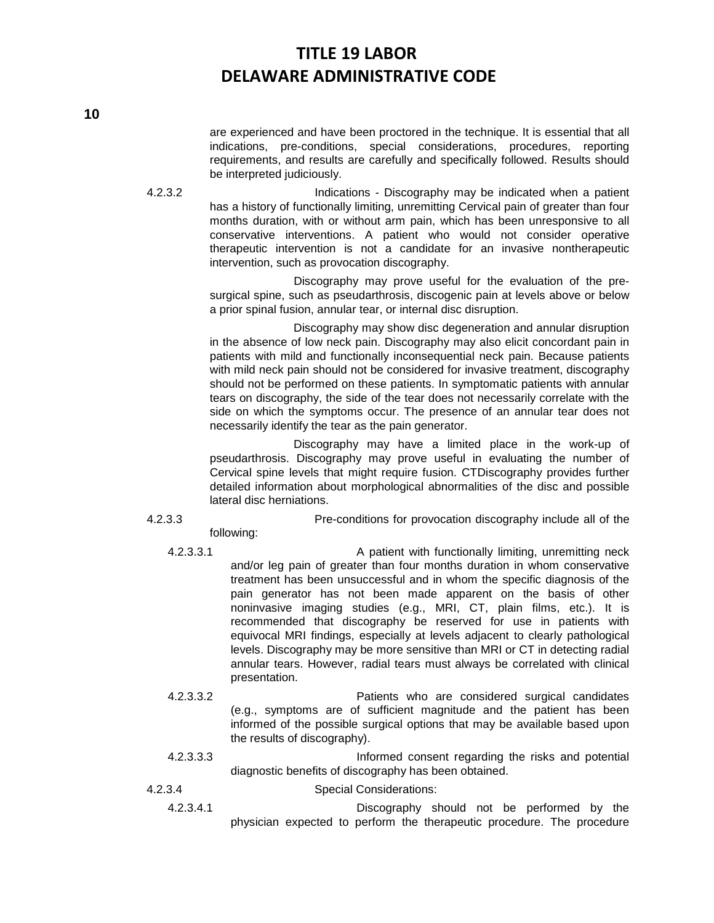are experienced and have been proctored in the technique. It is essential that all indications, pre-conditions, special considerations, procedures, reporting requirements, and results are carefully and specifically followed. Results should be interpreted judiciously.

4.2.3.2 Indications - Discography may be indicated when a patient has a history of functionally limiting, unremitting Cervical pain of greater than four months duration, with or without arm pain, which has been unresponsive to all conservative interventions. A patient who would not consider operative therapeutic intervention is not a candidate for an invasive nontherapeutic intervention, such as provocation discography.

> Discography may prove useful for the evaluation of the presurgical spine, such as pseudarthrosis, discogenic pain at levels above or below a prior spinal fusion, annular tear, or internal disc disruption.

> Discography may show disc degeneration and annular disruption in the absence of low neck pain. Discography may also elicit concordant pain in patients with mild and functionally inconsequential neck pain. Because patients with mild neck pain should not be considered for invasive treatment, discography should not be performed on these patients. In symptomatic patients with annular tears on discography, the side of the tear does not necessarily correlate with the side on which the symptoms occur. The presence of an annular tear does not necessarily identify the tear as the pain generator.

> Discography may have a limited place in the work-up of pseudarthrosis. Discography may prove useful in evaluating the number of Cervical spine levels that might require fusion. CTDiscography provides further detailed information about morphological abnormalities of the disc and possible lateral disc herniations.

4.2.3.3 Pre-conditions for provocation discography include all of the

- following: 4.2.3.3.1 A patient with functionally limiting, unremitting neck and/or leg pain of greater than four months duration in whom conservative treatment has been unsuccessful and in whom the specific diagnosis of the pain generator has not been made apparent on the basis of other noninvasive imaging studies (e.g., MRI, CT, plain films, etc.). It is recommended that discography be reserved for use in patients with equivocal MRI findings, especially at levels adjacent to clearly pathological levels. Discography may be more sensitive than MRI or CT in detecting radial annular tears. However, radial tears must always be correlated with clinical presentation.
	- 4.2.3.3.2 Patients who are considered surgical candidates (e.g., symptoms are of sufficient magnitude and the patient has been informed of the possible surgical options that may be available based upon the results of discography).
	- 4.2.3.3.3 Informed consent regarding the risks and potential diagnostic benefits of discography has been obtained.
- 4.2.3.4 Special Considerations:
	- 4.2.3.4.1 Discography should not be performed by the physician expected to perform the therapeutic procedure. The procedure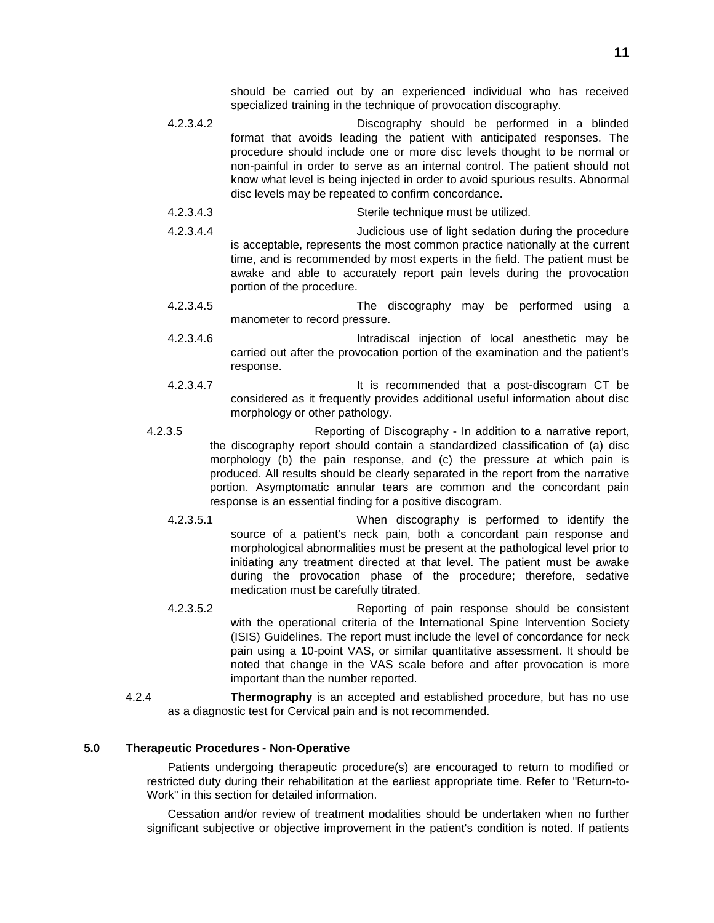should be carried out by an experienced individual who has received specialized training in the technique of provocation discography.

- 4.2.3.4.2 Discography should be performed in a blinded format that avoids leading the patient with anticipated responses. The procedure should include one or more disc levels thought to be normal or non-painful in order to serve as an internal control. The patient should not know what level is being injected in order to avoid spurious results. Abnormal disc levels may be repeated to confirm concordance.
- 4.2.3.4.3 Sterile technique must be utilized.
- 4.2.3.4.4 Judicious use of light sedation during the procedure is acceptable, represents the most common practice nationally at the current time, and is recommended by most experts in the field. The patient must be awake and able to accurately report pain levels during the provocation portion of the procedure.
- 4.2.3.4.5 The discography may be performed using a manometer to record pressure.
- 4.2.3.4.6 Intradiscal injection of local anesthetic may be carried out after the provocation portion of the examination and the patient's response.
- 4.2.3.4.7 It is recommended that a post-discogram CT be considered as it frequently provides additional useful information about disc morphology or other pathology.
- 4.2.3.5 Reporting of Discography In addition to a narrative report, the discography report should contain a standardized classification of (a) disc morphology (b) the pain response, and (c) the pressure at which pain is produced. All results should be clearly separated in the report from the narrative portion. Asymptomatic annular tears are common and the concordant pain response is an essential finding for a positive discogram.
	- 4.2.3.5.1 When discography is performed to identify the source of a patient's neck pain, both a concordant pain response and morphological abnormalities must be present at the pathological level prior to initiating any treatment directed at that level. The patient must be awake during the provocation phase of the procedure; therefore, sedative medication must be carefully titrated.
	- 4.2.3.5.2 Reporting of pain response should be consistent with the operational criteria of the International Spine Intervention Society (ISIS) Guidelines. The report must include the level of concordance for neck pain using a 10-point VAS, or similar quantitative assessment. It should be noted that change in the VAS scale before and after provocation is more important than the number reported.
- 4.2.4 **Thermography** is an accepted and established procedure, but has no use as a diagnostic test for Cervical pain and is not recommended.

#### **5.0 Therapeutic Procedures - Non-Operative**

Patients undergoing therapeutic procedure(s) are encouraged to return to modified or restricted duty during their rehabilitation at the earliest appropriate time. Refer to "Return-to-Work" in this section for detailed information.

Cessation and/or review of treatment modalities should be undertaken when no further significant subjective or objective improvement in the patient's condition is noted. If patients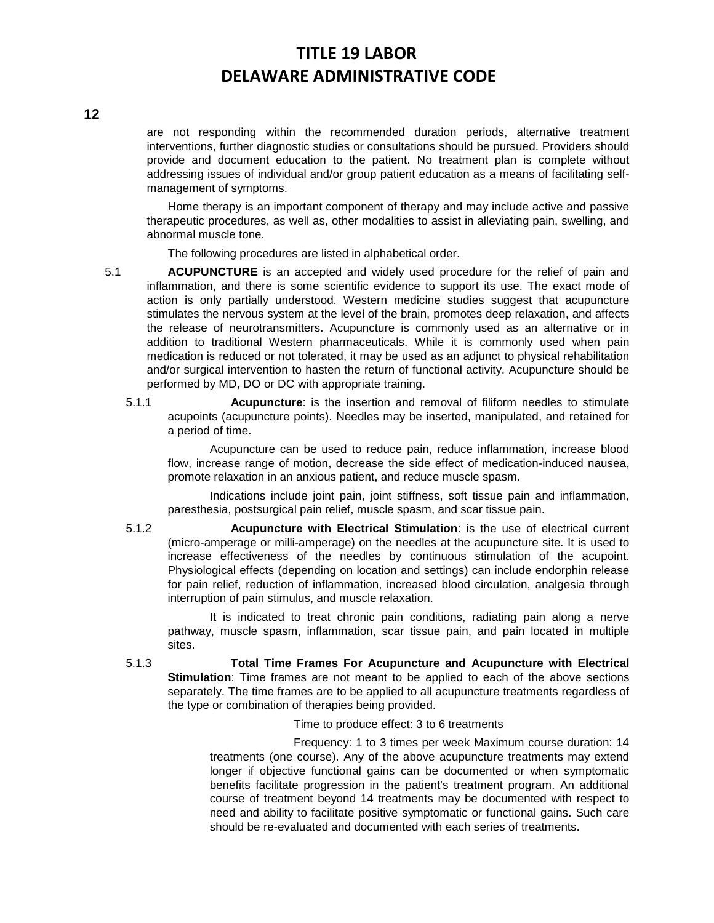# **12**

are not responding within the recommended duration periods, alternative treatment interventions, further diagnostic studies or consultations should be pursued. Providers should provide and document education to the patient. No treatment plan is complete without addressing issues of individual and/or group patient education as a means of facilitating selfmanagement of symptoms.

Home therapy is an important component of therapy and may include active and passive therapeutic procedures, as well as, other modalities to assist in alleviating pain, swelling, and abnormal muscle tone.

The following procedures are listed in alphabetical order.

- 5.1 **ACUPUNCTURE** is an accepted and widely used procedure for the relief of pain and inflammation, and there is some scientific evidence to support its use. The exact mode of action is only partially understood. Western medicine studies suggest that acupuncture stimulates the nervous system at the level of the brain, promotes deep relaxation, and affects the release of neurotransmitters. Acupuncture is commonly used as an alternative or in addition to traditional Western pharmaceuticals. While it is commonly used when pain medication is reduced or not tolerated, it may be used as an adjunct to physical rehabilitation and/or surgical intervention to hasten the return of functional activity. Acupuncture should be performed by MD, DO or DC with appropriate training.
	- 5.1.1 **Acupuncture**: is the insertion and removal of filiform needles to stimulate acupoints (acupuncture points). Needles may be inserted, manipulated, and retained for a period of time.

Acupuncture can be used to reduce pain, reduce inflammation, increase blood flow, increase range of motion, decrease the side effect of medication-induced nausea, promote relaxation in an anxious patient, and reduce muscle spasm.

Indications include joint pain, joint stiffness, soft tissue pain and inflammation, paresthesia, postsurgical pain relief, muscle spasm, and scar tissue pain.

5.1.2 **Acupuncture with Electrical Stimulation**: is the use of electrical current (micro-amperage or milli-amperage) on the needles at the acupuncture site. It is used to increase effectiveness of the needles by continuous stimulation of the acupoint. Physiological effects (depending on location and settings) can include endorphin release for pain relief, reduction of inflammation, increased blood circulation, analgesia through interruption of pain stimulus, and muscle relaxation.

It is indicated to treat chronic pain conditions, radiating pain along a nerve pathway, muscle spasm, inflammation, scar tissue pain, and pain located in multiple sites.

5.1.3 **Total Time Frames For Acupuncture and Acupuncture with Electrical Stimulation**: Time frames are not meant to be applied to each of the above sections separately. The time frames are to be applied to all acupuncture treatments regardless of the type or combination of therapies being provided.

Time to produce effect: 3 to 6 treatments

Frequency: 1 to 3 times per week Maximum course duration: 14 treatments (one course). Any of the above acupuncture treatments may extend longer if objective functional gains can be documented or when symptomatic benefits facilitate progression in the patient's treatment program. An additional course of treatment beyond 14 treatments may be documented with respect to need and ability to facilitate positive symptomatic or functional gains. Such care should be re-evaluated and documented with each series of treatments.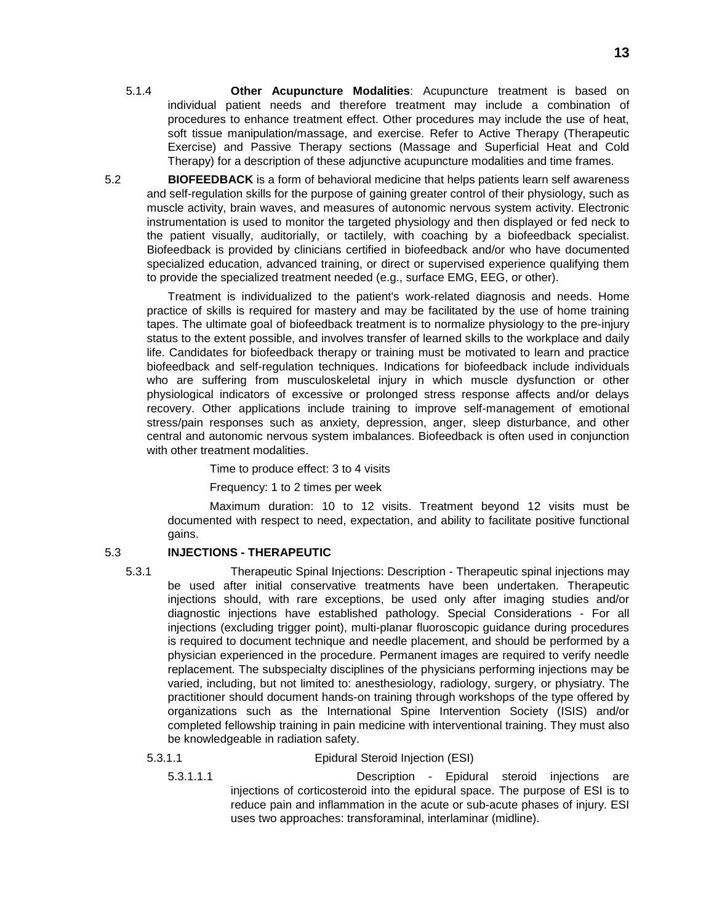- 5.1.4 **Other Acupuncture Modalities**: Acupuncture treatment is based on individual patient needs and therefore treatment may include a combination of procedures to enhance treatment effect. Other procedures may include the use of heat, soft tissue manipulation/massage, and exercise. Refer to Active Therapy (Therapeutic Exercise) and Passive Therapy sections (Massage and Superficial Heat and Cold Therapy) for a description of these adjunctive acupuncture modalities and time frames.
- 5.2 **BIOFEEDBACK** is a form of behavioral medicine that helps patients learn self awareness and self-regulation skills for the purpose of gaining greater control of their physiology, such as muscle activity, brain waves, and measures of autonomic nervous system activity. Electronic instrumentation is used to monitor the targeted physiology and then displayed or fed neck to the patient visually, auditorially, or tactilely, with coaching by a biofeedback specialist. Biofeedback is provided by clinicians certified in biofeedback and/or who have documented specialized education, advanced training, or direct or supervised experience qualifying them to provide the specialized treatment needed (e.g., surface EMG, EEG, or other).

Treatment is individualized to the patient's work-related diagnosis and needs. Home practice of skills is required for mastery and may be facilitated by the use of home training tapes. The ultimate goal of biofeedback treatment is to normalize physiology to the pre-injury status to the extent possible, and involves transfer of learned skills to the workplace and daily life. Candidates for biofeedback therapy or training must be motivated to learn and practice biofeedback and self-regulation techniques. Indications for biofeedback include individuals who are suffering from musculoskeletal injury in which muscle dysfunction or other physiological indicators of excessive or prolonged stress response affects and/or delays recovery. Other applications include training to improve self-management of emotional stress/pain responses such as anxiety, depression, anger, sleep disturbance, and other central and autonomic nervous system imbalances. Biofeedback is often used in conjunction with other treatment modalities.

Time to produce effect: 3 to 4 visits

Frequency: 1 to 2 times per week

Maximum duration: 10 to 12 visits. Treatment beyond 12 visits must be documented with respect to need, expectation, and ability to facilitate positive functional gains.

### 5.3 **INJECTIONS - THERAPEUTIC**

5.3.1 Therapeutic Spinal Injections: Description - Therapeutic spinal injections may be used after initial conservative treatments have been undertaken. Therapeutic injections should, with rare exceptions, be used only after imaging studies and/or diagnostic injections have established pathology. Special Considerations - For all injections (excluding trigger point), multi-planar fluoroscopic guidance during procedures is required to document technique and needle placement, and should be performed by a physician experienced in the procedure. Permanent images are required to verify needle replacement. The subspecialty disciplines of the physicians performing injections may be varied, including, but not limited to: anesthesiology, radiology, surgery, or physiatry. The practitioner should document hands-on training through workshops of the type offered by organizations such as the International Spine Intervention Society (ISIS) and/or completed fellowship training in pain medicine with interventional training. They must also be knowledgeable in radiation safety.

5.3.1.1 Epidural Steroid Injection (ESI)

5.3.1.1.1 Description - Epidural steroid injections are injections of corticosteroid into the epidural space. The purpose of ESI is to reduce pain and inflammation in the acute or sub-acute phases of injury. ESI uses two approaches: transforaminal, interlaminar (midline).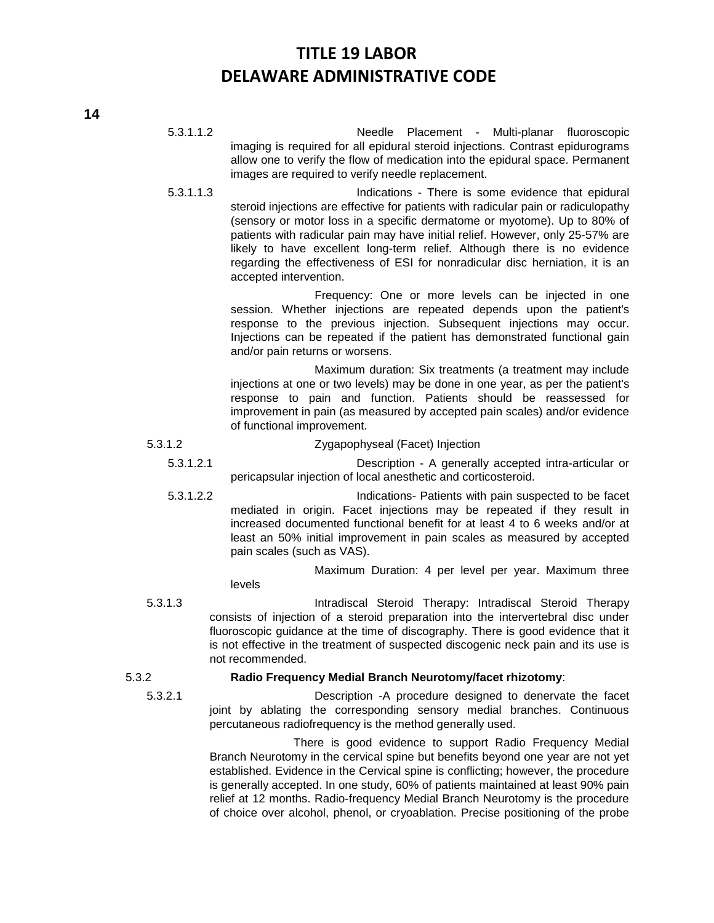- 5.3.1.1.2 Needle Placement Multi-planar fluoroscopic imaging is required for all epidural steroid injections. Contrast epidurograms allow one to verify the flow of medication into the epidural space. Permanent images are required to verify needle replacement.
- 5.3.1.1.3 Indications There is some evidence that epidural steroid injections are effective for patients with radicular pain or radiculopathy (sensory or motor loss in a specific dermatome or myotome). Up to 80% of patients with radicular pain may have initial relief. However, only 25-57% are likely to have excellent long-term relief. Although there is no evidence regarding the effectiveness of ESI for nonradicular disc herniation, it is an accepted intervention.

Frequency: One or more levels can be injected in one session. Whether injections are repeated depends upon the patient's response to the previous injection. Subsequent injections may occur. Injections can be repeated if the patient has demonstrated functional gain and/or pain returns or worsens.

Maximum duration: Six treatments (a treatment may include injections at one or two levels) may be done in one year, as per the patient's response to pain and function. Patients should be reassessed for improvement in pain (as measured by accepted pain scales) and/or evidence of functional improvement.

5.3.1.2 Zygapophyseal (Facet) Injection

- 5.3.1.2.1 Description A generally accepted intra-articular or pericapsular injection of local anesthetic and corticosteroid.
- 5.3.1.2.2 Indications- Patients with pain suspected to be facet mediated in origin. Facet injections may be repeated if they result in increased documented functional benefit for at least 4 to 6 weeks and/or at least an 50% initial improvement in pain scales as measured by accepted pain scales (such as VAS).

Maximum Duration: 4 per level per year. Maximum three levels

5.3.1.3 Intradiscal Steroid Therapy: Intradiscal Steroid Therapy consists of injection of a steroid preparation into the intervertebral disc under fluoroscopic guidance at the time of discography. There is good evidence that it is not effective in the treatment of suspected discogenic neck pain and its use is not recommended.

### 5.3.2 **Radio Frequency Medial Branch Neurotomy/facet rhizotomy**:

5.3.2.1 Description -A procedure designed to denervate the facet joint by ablating the corresponding sensory medial branches. Continuous percutaneous radiofrequency is the method generally used.

> There is good evidence to support Radio Frequency Medial Branch Neurotomy in the cervical spine but benefits beyond one year are not yet established. Evidence in the Cervical spine is conflicting; however, the procedure is generally accepted. In one study, 60% of patients maintained at least 90% pain relief at 12 months. Radio-frequency Medial Branch Neurotomy is the procedure of choice over alcohol, phenol, or cryoablation. Precise positioning of the probe

**14**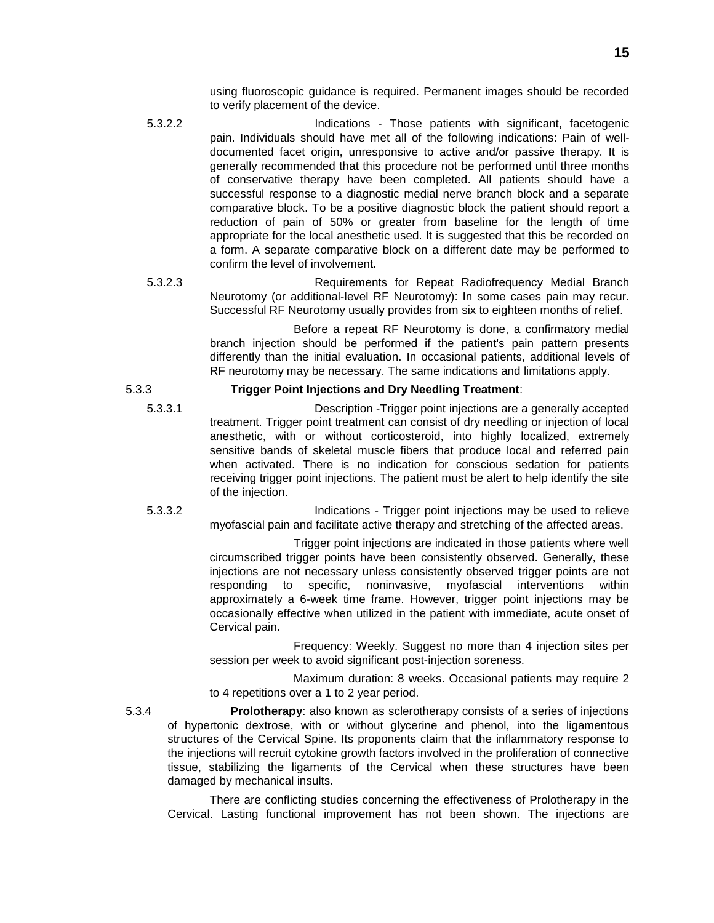using fluoroscopic guidance is required. Permanent images should be recorded to verify placement of the device.

- 5.3.2.2 Indications Those patients with significant, facetogenic pain. Individuals should have met all of the following indications: Pain of welldocumented facet origin, unresponsive to active and/or passive therapy. It is generally recommended that this procedure not be performed until three months of conservative therapy have been completed. All patients should have a successful response to a diagnostic medial nerve branch block and a separate comparative block. To be a positive diagnostic block the patient should report a reduction of pain of 50% or greater from baseline for the length of time appropriate for the local anesthetic used. It is suggested that this be recorded on a form. A separate comparative block on a different date may be performed to confirm the level of involvement.
- 5.3.2.3 Requirements for Repeat Radiofrequency Medial Branch Neurotomy (or additional-level RF Neurotomy): In some cases pain may recur. Successful RF Neurotomy usually provides from six to eighteen months of relief.

Before a repeat RF Neurotomy is done, a confirmatory medial branch injection should be performed if the patient's pain pattern presents differently than the initial evaluation. In occasional patients, additional levels of RF neurotomy may be necessary. The same indications and limitations apply.

### 5.3.3 **Trigger Point Injections and Dry Needling Treatment**:

- - 5.3.3.1 Description -Trigger point injections are a generally accepted treatment. Trigger point treatment can consist of dry needling or injection of local anesthetic, with or without corticosteroid, into highly localized, extremely sensitive bands of skeletal muscle fibers that produce local and referred pain when activated. There is no indication for conscious sedation for patients receiving trigger point injections. The patient must be alert to help identify the site of the injection.
	- 5.3.3.2 Indications Trigger point injections may be used to relieve myofascial pain and facilitate active therapy and stretching of the affected areas.

Trigger point injections are indicated in those patients where well circumscribed trigger points have been consistently observed. Generally, these injections are not necessary unless consistently observed trigger points are not responding to specific, noninvasive, myofascial interventions within responding to specific, noninvasive, myofascial interventions within approximately a 6-week time frame. However, trigger point injections may be occasionally effective when utilized in the patient with immediate, acute onset of Cervical pain.

Frequency: Weekly. Suggest no more than 4 injection sites per session per week to avoid significant post-injection soreness.

Maximum duration: 8 weeks. Occasional patients may require 2 to 4 repetitions over a 1 to 2 year period.

5.3.4 **Prolotherapy**: also known as sclerotherapy consists of a series of injections of hypertonic dextrose, with or without glycerine and phenol, into the ligamentous structures of the Cervical Spine. Its proponents claim that the inflammatory response to the injections will recruit cytokine growth factors involved in the proliferation of connective tissue, stabilizing the ligaments of the Cervical when these structures have been damaged by mechanical insults.

There are conflicting studies concerning the effectiveness of Prolotherapy in the Cervical. Lasting functional improvement has not been shown. The injections are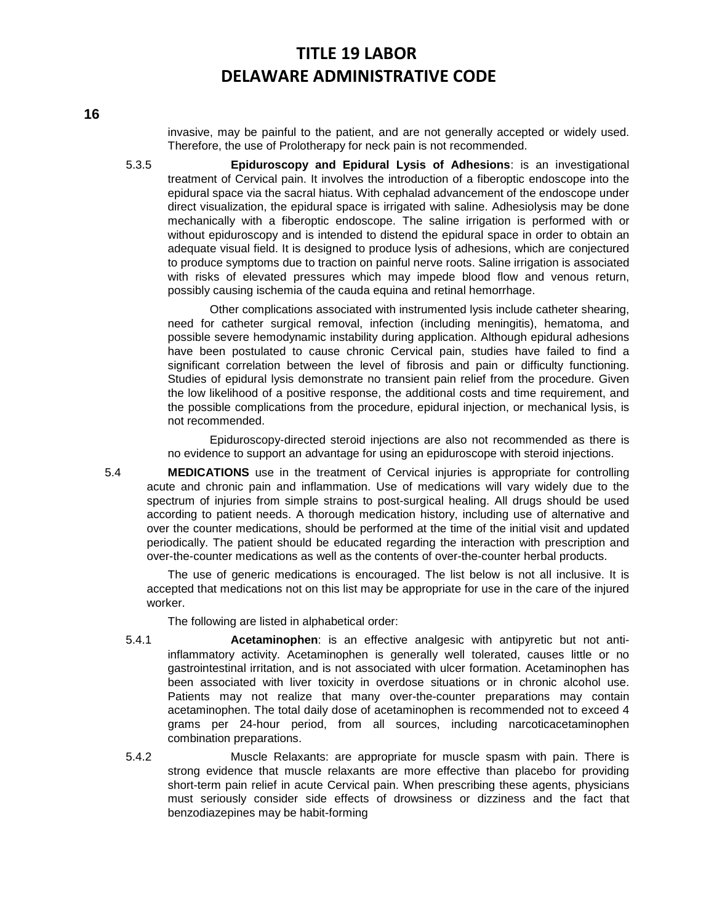invasive, may be painful to the patient, and are not generally accepted or widely used. Therefore, the use of Prolotherapy for neck pain is not recommended.

5.3.5 **Epiduroscopy and Epidural Lysis of Adhesions**: is an investigational treatment of Cervical pain. It involves the introduction of a fiberoptic endoscope into the epidural space via the sacral hiatus. With cephalad advancement of the endoscope under direct visualization, the epidural space is irrigated with saline. Adhesiolysis may be done mechanically with a fiberoptic endoscope. The saline irrigation is performed with or without epiduroscopy and is intended to distend the epidural space in order to obtain an adequate visual field. It is designed to produce lysis of adhesions, which are conjectured to produce symptoms due to traction on painful nerve roots. Saline irrigation is associated with risks of elevated pressures which may impede blood flow and venous return, possibly causing ischemia of the cauda equina and retinal hemorrhage.

Other complications associated with instrumented lysis include catheter shearing, need for catheter surgical removal, infection (including meningitis), hematoma, and possible severe hemodynamic instability during application. Although epidural adhesions have been postulated to cause chronic Cervical pain, studies have failed to find a significant correlation between the level of fibrosis and pain or difficulty functioning. Studies of epidural lysis demonstrate no transient pain relief from the procedure. Given the low likelihood of a positive response, the additional costs and time requirement, and the possible complications from the procedure, epidural injection, or mechanical lysis, is not recommended.

Epiduroscopy-directed steroid injections are also not recommended as there is no evidence to support an advantage for using an epiduroscope with steroid injections.

5.4 **MEDICATIONS** use in the treatment of Cervical injuries is appropriate for controlling acute and chronic pain and inflammation. Use of medications will vary widely due to the spectrum of injuries from simple strains to post-surgical healing. All drugs should be used according to patient needs. A thorough medication history, including use of alternative and over the counter medications, should be performed at the time of the initial visit and updated periodically. The patient should be educated regarding the interaction with prescription and over-the-counter medications as well as the contents of over-the-counter herbal products.

The use of generic medications is encouraged. The list below is not all inclusive. It is accepted that medications not on this list may be appropriate for use in the care of the injured worker.

The following are listed in alphabetical order:

- 5.4.1 **Acetaminophen**: is an effective analgesic with antipyretic but not antiinflammatory activity. Acetaminophen is generally well tolerated, causes little or no gastrointestinal irritation, and is not associated with ulcer formation. Acetaminophen has been associated with liver toxicity in overdose situations or in chronic alcohol use. Patients may not realize that many over-the-counter preparations may contain acetaminophen. The total daily dose of acetaminophen is recommended not to exceed 4 grams per 24-hour period, from all sources, including narcoticacetaminophen combination preparations.
- 5.4.2 Muscle Relaxants: are appropriate for muscle spasm with pain. There is strong evidence that muscle relaxants are more effective than placebo for providing short-term pain relief in acute Cervical pain. When prescribing these agents, physicians must seriously consider side effects of drowsiness or dizziness and the fact that benzodiazepines may be habit-forming

**16**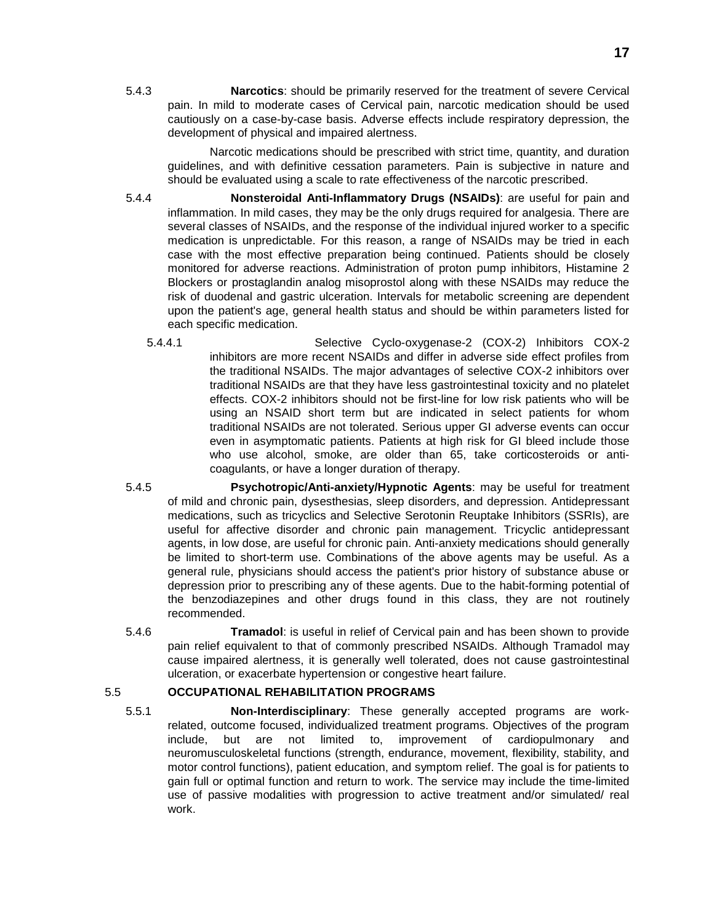5.4.3 **Narcotics**: should be primarily reserved for the treatment of severe Cervical pain. In mild to moderate cases of Cervical pain, narcotic medication should be used cautiously on a case-by-case basis. Adverse effects include respiratory depression, the development of physical and impaired alertness.

Narcotic medications should be prescribed with strict time, quantity, and duration guidelines, and with definitive cessation parameters. Pain is subjective in nature and should be evaluated using a scale to rate effectiveness of the narcotic prescribed.

- 5.4.4 **Nonsteroidal Anti-Inflammatory Drugs (NSAIDs)**: are useful for pain and inflammation. In mild cases, they may be the only drugs required for analgesia. There are several classes of NSAIDs, and the response of the individual injured worker to a specific medication is unpredictable. For this reason, a range of NSAIDs may be tried in each case with the most effective preparation being continued. Patients should be closely monitored for adverse reactions. Administration of proton pump inhibitors, Histamine 2 Blockers or prostaglandin analog misoprostol along with these NSAIDs may reduce the risk of duodenal and gastric ulceration. Intervals for metabolic screening are dependent upon the patient's age, general health status and should be within parameters listed for each specific medication.
	- 5.4.4.1 Selective Cyclo-oxygenase-2 (COX-2) Inhibitors COX-2 inhibitors are more recent NSAIDs and differ in adverse side effect profiles from the traditional NSAIDs. The major advantages of selective COX-2 inhibitors over traditional NSAIDs are that they have less gastrointestinal toxicity and no platelet effects. COX-2 inhibitors should not be first-line for low risk patients who will be using an NSAID short term but are indicated in select patients for whom traditional NSAIDs are not tolerated. Serious upper GI adverse events can occur even in asymptomatic patients. Patients at high risk for GI bleed include those who use alcohol, smoke, are older than 65, take corticosteroids or anticoagulants, or have a longer duration of therapy.
- 5.4.5 **Psychotropic/Anti-anxiety/Hypnotic Agents**: may be useful for treatment of mild and chronic pain, dysesthesias, sleep disorders, and depression. Antidepressant medications, such as tricyclics and Selective Serotonin Reuptake Inhibitors (SSRIs), are useful for affective disorder and chronic pain management. Tricyclic antidepressant agents, in low dose, are useful for chronic pain. Anti-anxiety medications should generally be limited to short-term use. Combinations of the above agents may be useful. As a general rule, physicians should access the patient's prior history of substance abuse or depression prior to prescribing any of these agents. Due to the habit-forming potential of the benzodiazepines and other drugs found in this class, they are not routinely recommended.
- 5.4.6 **Tramadol**: is useful in relief of Cervical pain and has been shown to provide pain relief equivalent to that of commonly prescribed NSAIDs. Although Tramadol may cause impaired alertness, it is generally well tolerated, does not cause gastrointestinal ulceration, or exacerbate hypertension or congestive heart failure.

# 5.5 **OCCUPATIONAL REHABILITATION PROGRAMS**

5.5.1 **Non-Interdisciplinary**: These generally accepted programs are workrelated, outcome focused, individualized treatment programs. Objectives of the program include, but are not limited to, improvement of cardiopulmonary and neuromusculoskeletal functions (strength, endurance, movement, flexibility, stability, and motor control functions), patient education, and symptom relief. The goal is for patients to gain full or optimal function and return to work. The service may include the time-limited use of passive modalities with progression to active treatment and/or simulated/ real work.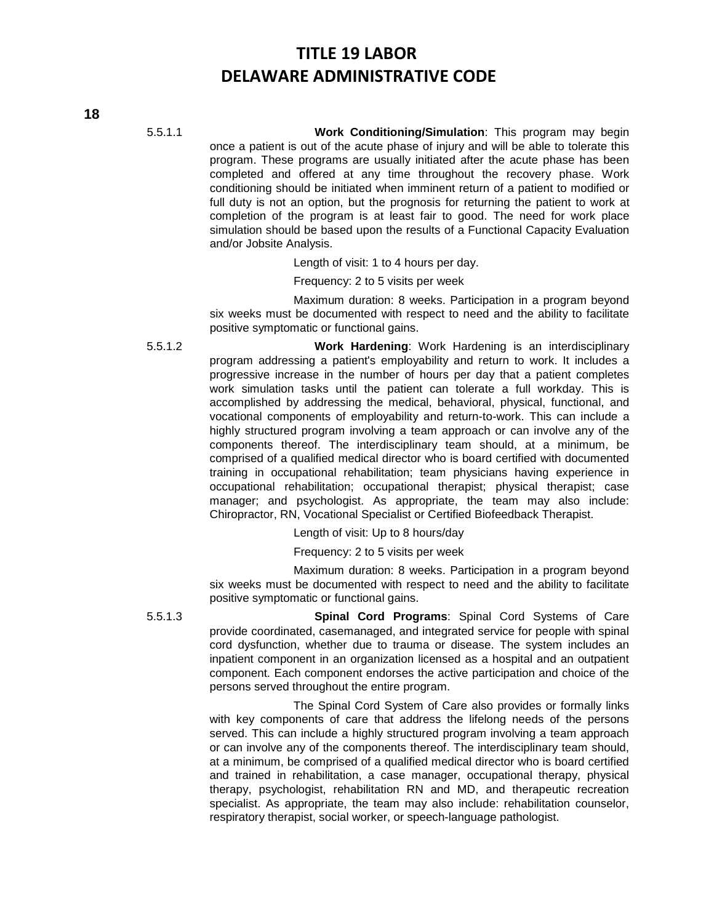5.5.1.1 **Work Conditioning/Simulation**: This program may begin once a patient is out of the acute phase of injury and will be able to tolerate this program. These programs are usually initiated after the acute phase has been completed and offered at any time throughout the recovery phase. Work conditioning should be initiated when imminent return of a patient to modified or full duty is not an option, but the prognosis for returning the patient to work at completion of the program is at least fair to good. The need for work place simulation should be based upon the results of a Functional Capacity Evaluation and/or Jobsite Analysis.

Length of visit: 1 to 4 hours per day.

Frequency: 2 to 5 visits per week

Maximum duration: 8 weeks. Participation in a program beyond six weeks must be documented with respect to need and the ability to facilitate positive symptomatic or functional gains.

5.5.1.2 **Work Hardening**: Work Hardening is an interdisciplinary program addressing a patient's employability and return to work. It includes a progressive increase in the number of hours per day that a patient completes work simulation tasks until the patient can tolerate a full workday. This is accomplished by addressing the medical, behavioral, physical, functional, and vocational components of employability and return-to-work. This can include a highly structured program involving a team approach or can involve any of the components thereof. The interdisciplinary team should, at a minimum, be comprised of a qualified medical director who is board certified with documented training in occupational rehabilitation; team physicians having experience in occupational rehabilitation; occupational therapist; physical therapist; case manager; and psychologist. As appropriate, the team may also include: Chiropractor, RN, Vocational Specialist or Certified Biofeedback Therapist.

Length of visit: Up to 8 hours/day

Frequency: 2 to 5 visits per week

Maximum duration: 8 weeks. Participation in a program beyond six weeks must be documented with respect to need and the ability to facilitate positive symptomatic or functional gains.

5.5.1.3 **Spinal Cord Programs**: Spinal Cord Systems of Care provide coordinated, casemanaged, and integrated service for people with spinal cord dysfunction, whether due to trauma or disease. The system includes an inpatient component in an organization licensed as a hospital and an outpatient component. Each component endorses the active participation and choice of the persons served throughout the entire program.

> The Spinal Cord System of Care also provides or formally links with key components of care that address the lifelong needs of the persons served. This can include a highly structured program involving a team approach or can involve any of the components thereof. The interdisciplinary team should, at a minimum, be comprised of a qualified medical director who is board certified and trained in rehabilitation, a case manager, occupational therapy, physical therapy, psychologist, rehabilitation RN and MD, and therapeutic recreation specialist. As appropriate, the team may also include: rehabilitation counselor, respiratory therapist, social worker, or speech-language pathologist.

**18**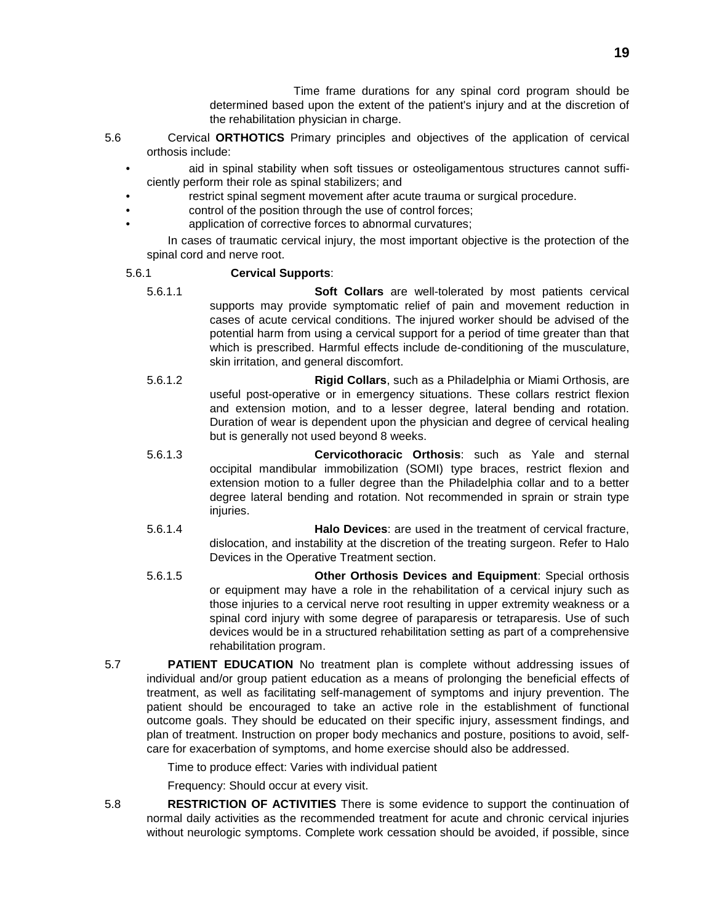Time frame durations for any spinal cord program should be determined based upon the extent of the patient's injury and at the discretion of the rehabilitation physician in charge.

- 5.6 Cervical **ORTHOTICS** Primary principles and objectives of the application of cervical orthosis include:
	- aid in spinal stability when soft tissues or osteoligamentous structures cannot sufficiently perform their role as spinal stabilizers; and
	- restrict spinal segment movement after acute trauma or surgical procedure.
	- control of the position through the use of control forces;
	- application of corrective forces to abnormal curvatures;

In cases of traumatic cervical injury, the most important objective is the protection of the spinal cord and nerve root.

# 5.6.1 **Cervical Supports**:

- 5.6.1.1 **Soft Collars** are well-tolerated by most patients cervical supports may provide symptomatic relief of pain and movement reduction in cases of acute cervical conditions. The injured worker should be advised of the potential harm from using a cervical support for a period of time greater than that which is prescribed. Harmful effects include de-conditioning of the musculature, skin irritation, and general discomfort.
- 5.6.1.2 **Rigid Collars**, such as a Philadelphia or Miami Orthosis, are useful post-operative or in emergency situations. These collars restrict flexion and extension motion, and to a lesser degree, lateral bending and rotation. Duration of wear is dependent upon the physician and degree of cervical healing but is generally not used beyond 8 weeks.
- 5.6.1.3 **Cervicothoracic Orthosis**: such as Yale and sternal occipital mandibular immobilization (SOMI) type braces, restrict flexion and extension motion to a fuller degree than the Philadelphia collar and to a better degree lateral bending and rotation. Not recommended in sprain or strain type iniuries.
- 5.6.1.4 **Halo Devices**: are used in the treatment of cervical fracture, dislocation, and instability at the discretion of the treating surgeon. Refer to Halo Devices in the Operative Treatment section.
- 5.6.1.5 **Other Orthosis Devices and Equipment**: Special orthosis or equipment may have a role in the rehabilitation of a cervical injury such as those injuries to a cervical nerve root resulting in upper extremity weakness or a spinal cord injury with some degree of paraparesis or tetraparesis. Use of such devices would be in a structured rehabilitation setting as part of a comprehensive rehabilitation program.
- 5.7 **PATIENT EDUCATION** No treatment plan is complete without addressing issues of individual and/or group patient education as a means of prolonging the beneficial effects of treatment, as well as facilitating self-management of symptoms and injury prevention. The patient should be encouraged to take an active role in the establishment of functional outcome goals. They should be educated on their specific injury, assessment findings, and plan of treatment. Instruction on proper body mechanics and posture, positions to avoid, selfcare for exacerbation of symptoms, and home exercise should also be addressed.

Time to produce effect: Varies with individual patient

Frequency: Should occur at every visit.

5.8 **RESTRICTION OF ACTIVITIES** There is some evidence to support the continuation of normal daily activities as the recommended treatment for acute and chronic cervical injuries without neurologic symptoms. Complete work cessation should be avoided, if possible, since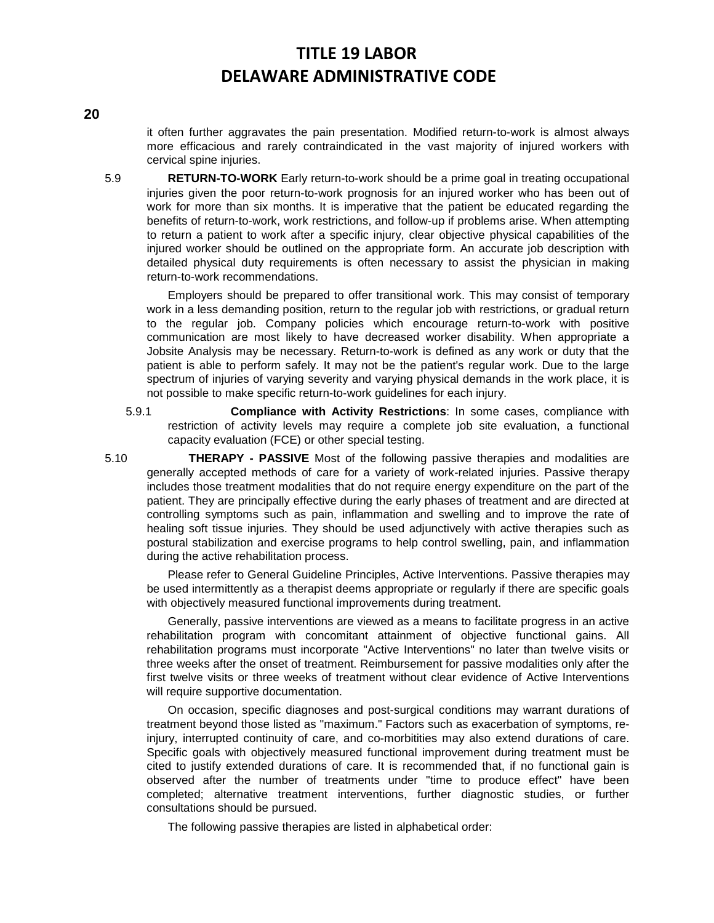**20**

it often further aggravates the pain presentation. Modified return-to-work is almost always more efficacious and rarely contraindicated in the vast majority of injured workers with cervical spine injuries.

5.9 **RETURN-TO-WORK** Early return-to-work should be a prime goal in treating occupational injuries given the poor return-to-work prognosis for an injured worker who has been out of work for more than six months. It is imperative that the patient be educated regarding the benefits of return-to-work, work restrictions, and follow-up if problems arise. When attempting to return a patient to work after a specific injury, clear objective physical capabilities of the injured worker should be outlined on the appropriate form. An accurate job description with detailed physical duty requirements is often necessary to assist the physician in making return-to-work recommendations.

Employers should be prepared to offer transitional work. This may consist of temporary work in a less demanding position, return to the regular job with restrictions, or gradual return to the regular job. Company policies which encourage return-to-work with positive communication are most likely to have decreased worker disability. When appropriate a Jobsite Analysis may be necessary. Return-to-work is defined as any work or duty that the patient is able to perform safely. It may not be the patient's regular work. Due to the large spectrum of injuries of varying severity and varying physical demands in the work place, it is not possible to make specific return-to-work guidelines for each injury.

5.9.1 **Compliance with Activity Restrictions**: In some cases, compliance with restriction of activity levels may require a complete job site evaluation, a functional capacity evaluation (FCE) or other special testing.

5.10 **THERAPY - PASSIVE** Most of the following passive therapies and modalities are generally accepted methods of care for a variety of work-related injuries. Passive therapy includes those treatment modalities that do not require energy expenditure on the part of the patient. They are principally effective during the early phases of treatment and are directed at controlling symptoms such as pain, inflammation and swelling and to improve the rate of healing soft tissue injuries. They should be used adjunctively with active therapies such as postural stabilization and exercise programs to help control swelling, pain, and inflammation during the active rehabilitation process.

Please refer to General Guideline Principles, Active Interventions. Passive therapies may be used intermittently as a therapist deems appropriate or regularly if there are specific goals with objectively measured functional improvements during treatment.

Generally, passive interventions are viewed as a means to facilitate progress in an active rehabilitation program with concomitant attainment of objective functional gains. All rehabilitation programs must incorporate "Active Interventions" no later than twelve visits or three weeks after the onset of treatment. Reimbursement for passive modalities only after the first twelve visits or three weeks of treatment without clear evidence of Active Interventions will require supportive documentation.

On occasion, specific diagnoses and post-surgical conditions may warrant durations of treatment beyond those listed as "maximum." Factors such as exacerbation of symptoms, reinjury, interrupted continuity of care, and co-morbitities may also extend durations of care. Specific goals with objectively measured functional improvement during treatment must be cited to justify extended durations of care. It is recommended that, if no functional gain is observed after the number of treatments under "time to produce effect" have been completed; alternative treatment interventions, further diagnostic studies, or further consultations should be pursued.

The following passive therapies are listed in alphabetical order: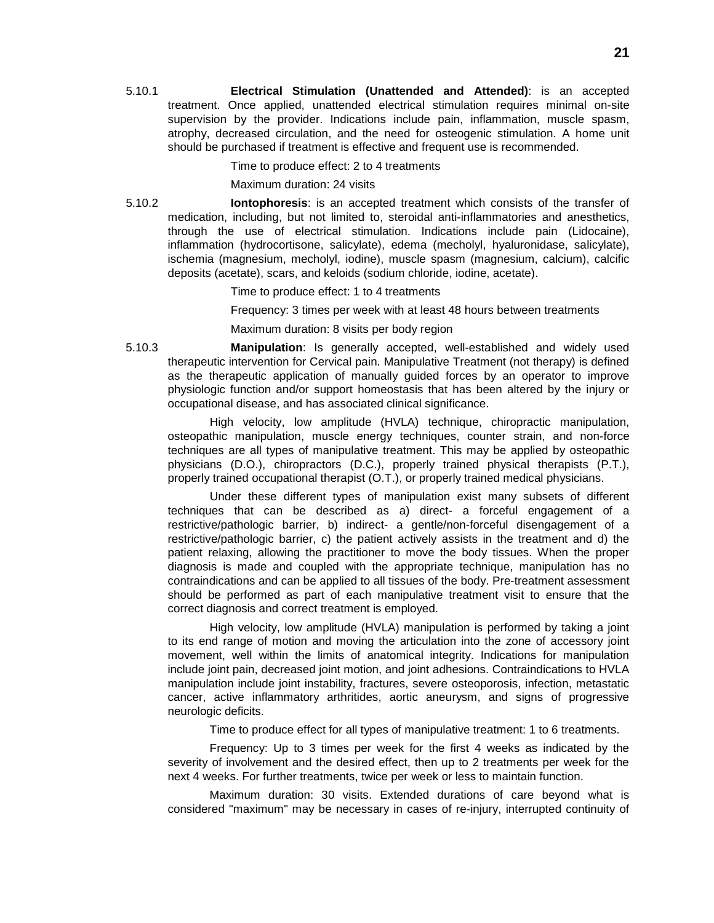5.10.1 **Electrical Stimulation (Unattended and Attended)**: is an accepted treatment. Once applied, unattended electrical stimulation requires minimal on-site supervision by the provider. Indications include pain, inflammation, muscle spasm, atrophy, decreased circulation, and the need for osteogenic stimulation. A home unit should be purchased if treatment is effective and frequent use is recommended.

#### Time to produce effect: 2 to 4 treatments

#### Maximum duration: 24 visits

5.10.2 **Iontophoresis**: is an accepted treatment which consists of the transfer of medication, including, but not limited to, steroidal anti-inflammatories and anesthetics, through the use of electrical stimulation. Indications include pain (Lidocaine), inflammation (hydrocortisone, salicylate), edema (mecholyl, hyaluronidase, salicylate), ischemia (magnesium, mecholyl, iodine), muscle spasm (magnesium, calcium), calcific deposits (acetate), scars, and keloids (sodium chloride, iodine, acetate).

Time to produce effect: 1 to 4 treatments

Frequency: 3 times per week with at least 48 hours between treatments

Maximum duration: 8 visits per body region

5.10.3 **Manipulation**: Is generally accepted, well-established and widely used therapeutic intervention for Cervical pain. Manipulative Treatment (not therapy) is defined as the therapeutic application of manually guided forces by an operator to improve physiologic function and/or support homeostasis that has been altered by the injury or occupational disease, and has associated clinical significance.

High velocity, low amplitude (HVLA) technique, chiropractic manipulation, osteopathic manipulation, muscle energy techniques, counter strain, and non-force techniques are all types of manipulative treatment. This may be applied by osteopathic physicians (D.O.), chiropractors (D.C.), properly trained physical therapists (P.T.), properly trained occupational therapist (O.T.), or properly trained medical physicians.

Under these different types of manipulation exist many subsets of different techniques that can be described as a) direct- a forceful engagement of a restrictive/pathologic barrier, b) indirect- a gentle/non-forceful disengagement of a restrictive/pathologic barrier, c) the patient actively assists in the treatment and d) the patient relaxing, allowing the practitioner to move the body tissues. When the proper diagnosis is made and coupled with the appropriate technique, manipulation has no contraindications and can be applied to all tissues of the body. Pre-treatment assessment should be performed as part of each manipulative treatment visit to ensure that the correct diagnosis and correct treatment is employed.

High velocity, low amplitude (HVLA) manipulation is performed by taking a joint to its end range of motion and moving the articulation into the zone of accessory joint movement, well within the limits of anatomical integrity. Indications for manipulation include joint pain, decreased joint motion, and joint adhesions. Contraindications to HVLA manipulation include joint instability, fractures, severe osteoporosis, infection, metastatic cancer, active inflammatory arthritides, aortic aneurysm, and signs of progressive neurologic deficits.

Time to produce effect for all types of manipulative treatment: 1 to 6 treatments.

Frequency: Up to 3 times per week for the first 4 weeks as indicated by the severity of involvement and the desired effect, then up to 2 treatments per week for the next 4 weeks. For further treatments, twice per week or less to maintain function.

Maximum duration: 30 visits. Extended durations of care beyond what is considered "maximum" may be necessary in cases of re-injury, interrupted continuity of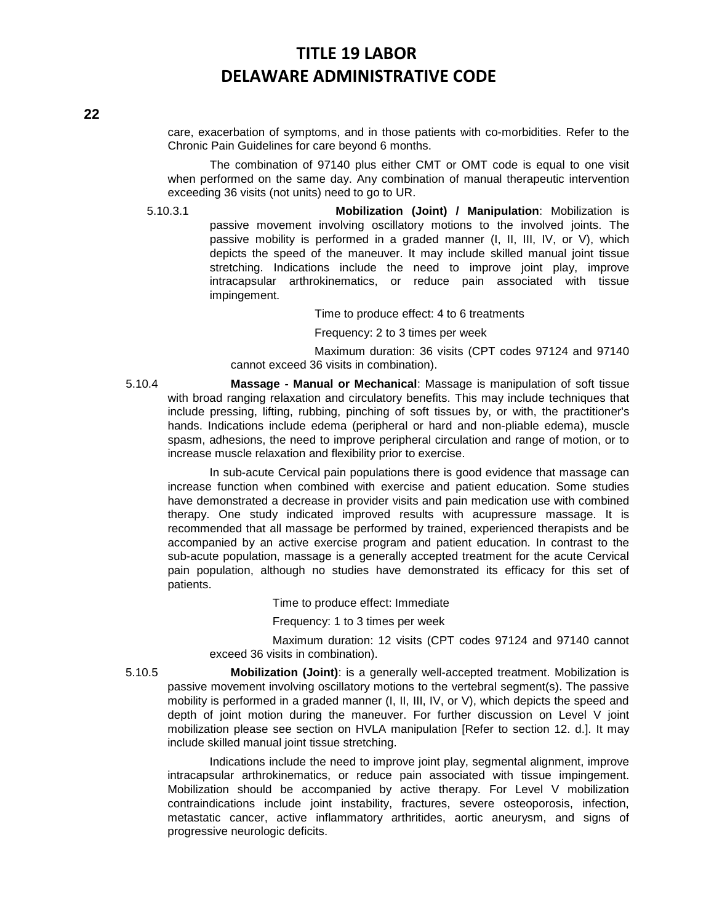care, exacerbation of symptoms, and in those patients with co-morbidities. Refer to the Chronic Pain Guidelines for care beyond 6 months.

The combination of 97140 plus either CMT or OMT code is equal to one visit when performed on the same day. Any combination of manual therapeutic intervention exceeding 36 visits (not units) need to go to UR.

5.10.3.1 **Mobilization (Joint) / Manipulation**: Mobilization is passive movement involving oscillatory motions to the involved joints. The passive mobility is performed in a graded manner (I, II, III, IV, or V), which depicts the speed of the maneuver. It may include skilled manual joint tissue stretching. Indications include the need to improve joint play, improve intracapsular arthrokinematics, or reduce pain associated with tissue impingement.

Time to produce effect: 4 to 6 treatments

Frequency: 2 to 3 times per week

Maximum duration: 36 visits (CPT codes 97124 and 97140 cannot exceed 36 visits in combination).

5.10.4 **Massage - Manual or Mechanical**: Massage is manipulation of soft tissue with broad ranging relaxation and circulatory benefits. This may include techniques that include pressing, lifting, rubbing, pinching of soft tissues by, or with, the practitioner's hands. Indications include edema (peripheral or hard and non-pliable edema), muscle spasm, adhesions, the need to improve peripheral circulation and range of motion, or to increase muscle relaxation and flexibility prior to exercise.

In sub-acute Cervical pain populations there is good evidence that massage can increase function when combined with exercise and patient education. Some studies have demonstrated a decrease in provider visits and pain medication use with combined therapy. One study indicated improved results with acupressure massage. It is recommended that all massage be performed by trained, experienced therapists and be accompanied by an active exercise program and patient education. In contrast to the sub-acute population, massage is a generally accepted treatment for the acute Cervical pain population, although no studies have demonstrated its efficacy for this set of patients.

Time to produce effect: Immediate

Frequency: 1 to 3 times per week

Maximum duration: 12 visits (CPT codes 97124 and 97140 cannot exceed 36 visits in combination).

5.10.5 **Mobilization (Joint)**: is a generally well-accepted treatment. Mobilization is passive movement involving oscillatory motions to the vertebral segment(s). The passive mobility is performed in a graded manner (I, II, III, IV, or V), which depicts the speed and depth of joint motion during the maneuver. For further discussion on Level V joint mobilization please see section on HVLA manipulation [Refer to section 12. d.]. It may include skilled manual joint tissue stretching.

Indications include the need to improve joint play, segmental alignment, improve intracapsular arthrokinematics, or reduce pain associated with tissue impingement. Mobilization should be accompanied by active therapy. For Level V mobilization contraindications include joint instability, fractures, severe osteoporosis, infection, metastatic cancer, active inflammatory arthritides, aortic aneurysm, and signs of progressive neurologic deficits.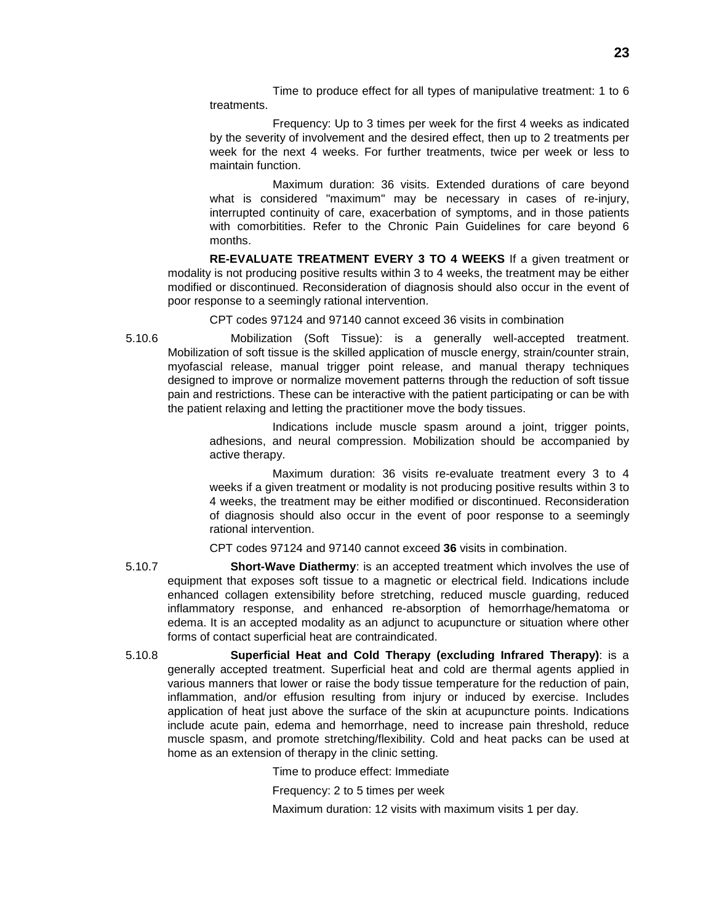Time to produce effect for all types of manipulative treatment: 1 to 6 treatments.

Frequency: Up to 3 times per week for the first 4 weeks as indicated by the severity of involvement and the desired effect, then up to 2 treatments per week for the next 4 weeks. For further treatments, twice per week or less to maintain function.

Maximum duration: 36 visits. Extended durations of care beyond what is considered "maximum" may be necessary in cases of re-injury, interrupted continuity of care, exacerbation of symptoms, and in those patients with comorbitities. Refer to the Chronic Pain Guidelines for care beyond 6 months.

**RE-EVALUATE TREATMENT EVERY 3 TO 4 WEEKS** If a given treatment or modality is not producing positive results within 3 to 4 weeks, the treatment may be either modified or discontinued. Reconsideration of diagnosis should also occur in the event of poor response to a seemingly rational intervention.

CPT codes 97124 and 97140 cannot exceed 36 visits in combination

5.10.6 Mobilization (Soft Tissue): is a generally well-accepted treatment. Mobilization of soft tissue is the skilled application of muscle energy, strain/counter strain, myofascial release, manual trigger point release, and manual therapy techniques designed to improve or normalize movement patterns through the reduction of soft tissue pain and restrictions. These can be interactive with the patient participating or can be with the patient relaxing and letting the practitioner move the body tissues.

> Indications include muscle spasm around a joint, trigger points, adhesions, and neural compression. Mobilization should be accompanied by active therapy.

> Maximum duration: 36 visits re-evaluate treatment every 3 to 4 weeks if a given treatment or modality is not producing positive results within 3 to 4 weeks, the treatment may be either modified or discontinued. Reconsideration of diagnosis should also occur in the event of poor response to a seemingly rational intervention.

CPT codes 97124 and 97140 cannot exceed **36** visits in combination.

- 5.10.7 **Short-Wave Diathermy**: is an accepted treatment which involves the use of equipment that exposes soft tissue to a magnetic or electrical field. Indications include enhanced collagen extensibility before stretching, reduced muscle guarding, reduced inflammatory response, and enhanced re-absorption of hemorrhage/hematoma or edema. It is an accepted modality as an adjunct to acupuncture or situation where other forms of contact superficial heat are contraindicated.
- 5.10.8 **Superficial Heat and Cold Therapy (excluding Infrared Therapy)**: is a generally accepted treatment. Superficial heat and cold are thermal agents applied in various manners that lower or raise the body tissue temperature for the reduction of pain, inflammation, and/or effusion resulting from injury or induced by exercise. Includes application of heat just above the surface of the skin at acupuncture points. Indications include acute pain, edema and hemorrhage, need to increase pain threshold, reduce muscle spasm, and promote stretching/flexibility. Cold and heat packs can be used at home as an extension of therapy in the clinic setting.

Time to produce effect: Immediate

Frequency: 2 to 5 times per week

Maximum duration: 12 visits with maximum visits 1 per day.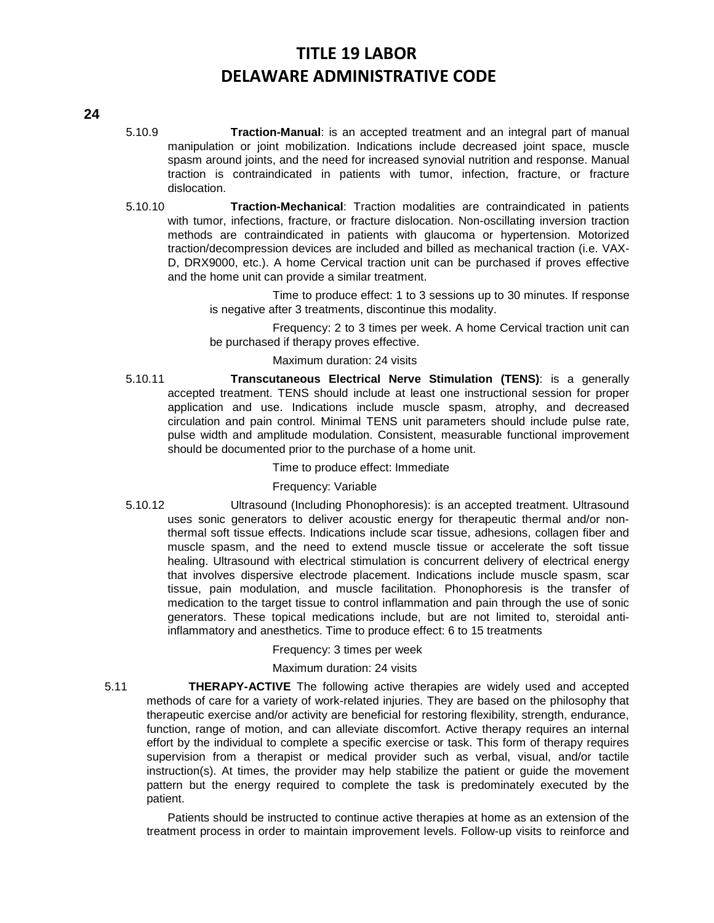# **24**

- 5.10.9 **Traction-Manual**: is an accepted treatment and an integral part of manual manipulation or joint mobilization. Indications include decreased joint space, muscle spasm around joints, and the need for increased synovial nutrition and response. Manual traction is contraindicated in patients with tumor, infection, fracture, or fracture dislocation.
- 5.10.10 **Traction-Mechanical**: Traction modalities are contraindicated in patients with tumor, infections, fracture, or fracture dislocation. Non-oscillating inversion traction methods are contraindicated in patients with glaucoma or hypertension. Motorized traction/decompression devices are included and billed as mechanical traction (i.e. VAX-D, DRX9000, etc.). A home Cervical traction unit can be purchased if proves effective and the home unit can provide a similar treatment.

Time to produce effect: 1 to 3 sessions up to 30 minutes. If response is negative after 3 treatments, discontinue this modality.

Frequency: 2 to 3 times per week. A home Cervical traction unit can be purchased if therapy proves effective.

#### Maximum duration: 24 visits

5.10.11 **Transcutaneous Electrical Nerve Stimulation (TENS)**: is a generally accepted treatment. TENS should include at least one instructional session for proper application and use. Indications include muscle spasm, atrophy, and decreased circulation and pain control. Minimal TENS unit parameters should include pulse rate, pulse width and amplitude modulation. Consistent, measurable functional improvement should be documented prior to the purchase of a home unit.

Time to produce effect: Immediate

### Frequency: Variable

5.10.12 Ultrasound (Including Phonophoresis): is an accepted treatment. Ultrasound uses sonic generators to deliver acoustic energy for therapeutic thermal and/or nonthermal soft tissue effects. Indications include scar tissue, adhesions, collagen fiber and muscle spasm, and the need to extend muscle tissue or accelerate the soft tissue healing. Ultrasound with electrical stimulation is concurrent delivery of electrical energy that involves dispersive electrode placement. Indications include muscle spasm, scar tissue, pain modulation, and muscle facilitation. Phonophoresis is the transfer of medication to the target tissue to control inflammation and pain through the use of sonic generators. These topical medications include, but are not limited to, steroidal antiinflammatory and anesthetics. Time to produce effect: 6 to 15 treatments

Frequency: 3 times per week

### Maximum duration: 24 visits

5.11 **THERAPY-ACTIVE** The following active therapies are widely used and accepted methods of care for a variety of work-related injuries. They are based on the philosophy that therapeutic exercise and/or activity are beneficial for restoring flexibility, strength, endurance, function, range of motion, and can alleviate discomfort. Active therapy requires an internal effort by the individual to complete a specific exercise or task. This form of therapy requires supervision from a therapist or medical provider such as verbal, visual, and/or tactile instruction(s). At times, the provider may help stabilize the patient or guide the movement pattern but the energy required to complete the task is predominately executed by the patient.

Patients should be instructed to continue active therapies at home as an extension of the treatment process in order to maintain improvement levels. Follow-up visits to reinforce and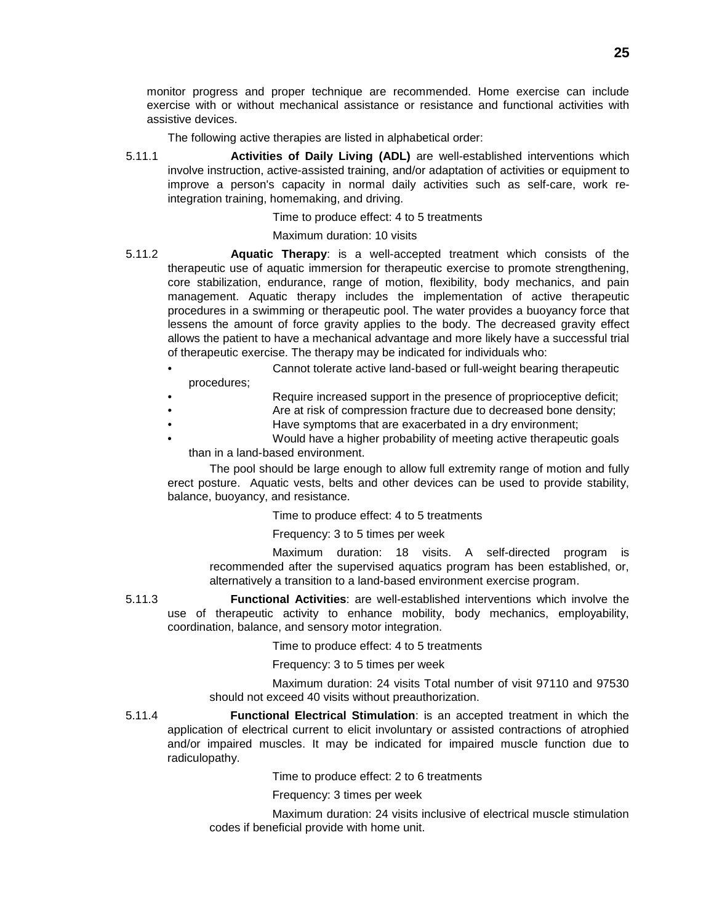monitor progress and proper technique are recommended. Home exercise can include exercise with or without mechanical assistance or resistance and functional activities with assistive devices.

The following active therapies are listed in alphabetical order:

5.11.1 **Activities of Daily Living (ADL)** are well-established interventions which involve instruction, active-assisted training, and/or adaptation of activities or equipment to improve a person's capacity in normal daily activities such as self-care, work reintegration training, homemaking, and driving.

Time to produce effect: 4 to 5 treatments

### Maximum duration: 10 visits

- 5.11.2 **Aquatic Therapy**: is a well-accepted treatment which consists of the therapeutic use of aquatic immersion for therapeutic exercise to promote strengthening, core stabilization, endurance, range of motion, flexibility, body mechanics, and pain management. Aquatic therapy includes the implementation of active therapeutic procedures in a swimming or therapeutic pool. The water provides a buoyancy force that lessens the amount of force gravity applies to the body. The decreased gravity effect allows the patient to have a mechanical advantage and more likely have a successful trial of therapeutic exercise. The therapy may be indicated for individuals who:
	- Cannot tolerate active land-based or full-weight bearing therapeutic procedures;
	- Require increased support in the presence of proprioceptive deficit;
	- Are at risk of compression fracture due to decreased bone density;
	- Have symptoms that are exacerbated in a dry environment;
		- Would have a higher probability of meeting active therapeutic goals than in a land-based environment.

The pool should be large enough to allow full extremity range of motion and fully erect posture. Aquatic vests, belts and other devices can be used to provide stability, balance, buoyancy, and resistance.

Time to produce effect: 4 to 5 treatments

Frequency: 3 to 5 times per week

Maximum duration: 18 visits. A self-directed program is recommended after the supervised aquatics program has been established, or, alternatively a transition to a land-based environment exercise program.

5.11.3 **Functional Activities**: are well-established interventions which involve the use of therapeutic activity to enhance mobility, body mechanics, employability, coordination, balance, and sensory motor integration.

Time to produce effect: 4 to 5 treatments

Frequency: 3 to 5 times per week

Maximum duration: 24 visits Total number of visit 97110 and 97530 should not exceed 40 visits without preauthorization.

5.11.4 **Functional Electrical Stimulation**: is an accepted treatment in which the application of electrical current to elicit involuntary or assisted contractions of atrophied and/or impaired muscles. It may be indicated for impaired muscle function due to radiculopathy.

Time to produce effect: 2 to 6 treatments

Frequency: 3 times per week

Maximum duration: 24 visits inclusive of electrical muscle stimulation codes if beneficial provide with home unit.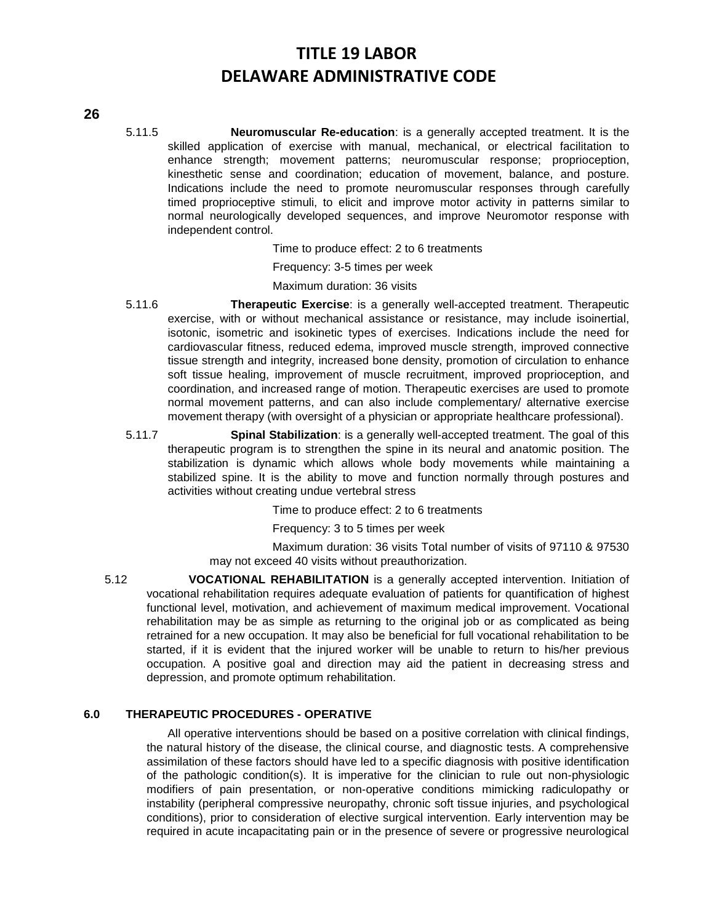#### **26**

5.11.5 **Neuromuscular Re-education**: is a generally accepted treatment. It is the skilled application of exercise with manual, mechanical, or electrical facilitation to enhance strength; movement patterns; neuromuscular response; proprioception, kinesthetic sense and coordination; education of movement, balance, and posture. Indications include the need to promote neuromuscular responses through carefully timed proprioceptive stimuli, to elicit and improve motor activity in patterns similar to normal neurologically developed sequences, and improve Neuromotor response with independent control.

Time to produce effect: 2 to 6 treatments

Frequency: 3-5 times per week

Maximum duration: 36 visits

- 5.11.6 **Therapeutic Exercise**: is a generally well-accepted treatment. Therapeutic exercise, with or without mechanical assistance or resistance, may include isoinertial, isotonic, isometric and isokinetic types of exercises. Indications include the need for cardiovascular fitness, reduced edema, improved muscle strength, improved connective tissue strength and integrity, increased bone density, promotion of circulation to enhance soft tissue healing, improvement of muscle recruitment, improved proprioception, and coordination, and increased range of motion. Therapeutic exercises are used to promote normal movement patterns, and can also include complementary/ alternative exercise movement therapy (with oversight of a physician or appropriate healthcare professional).
- 5.11.7 **Spinal Stabilization**: is a generally well-accepted treatment. The goal of this therapeutic program is to strengthen the spine in its neural and anatomic position. The stabilization is dynamic which allows whole body movements while maintaining a stabilized spine. It is the ability to move and function normally through postures and activities without creating undue vertebral stress

Time to produce effect: 2 to 6 treatments

Frequency: 3 to 5 times per week

Maximum duration: 36 visits Total number of visits of 97110 & 97530 may not exceed 40 visits without preauthorization.

5.12 **VOCATIONAL REHABILITATION** is a generally accepted intervention. Initiation of vocational rehabilitation requires adequate evaluation of patients for quantification of highest functional level, motivation, and achievement of maximum medical improvement. Vocational rehabilitation may be as simple as returning to the original job or as complicated as being retrained for a new occupation. It may also be beneficial for full vocational rehabilitation to be started, if it is evident that the injured worker will be unable to return to his/her previous occupation. A positive goal and direction may aid the patient in decreasing stress and depression, and promote optimum rehabilitation.

### **6.0 THERAPEUTIC PROCEDURES - OPERATIVE**

All operative interventions should be based on a positive correlation with clinical findings, the natural history of the disease, the clinical course, and diagnostic tests. A comprehensive assimilation of these factors should have led to a specific diagnosis with positive identification of the pathologic condition(s). It is imperative for the clinician to rule out non-physiologic modifiers of pain presentation, or non-operative conditions mimicking radiculopathy or instability (peripheral compressive neuropathy, chronic soft tissue injuries, and psychological conditions), prior to consideration of elective surgical intervention. Early intervention may be required in acute incapacitating pain or in the presence of severe or progressive neurological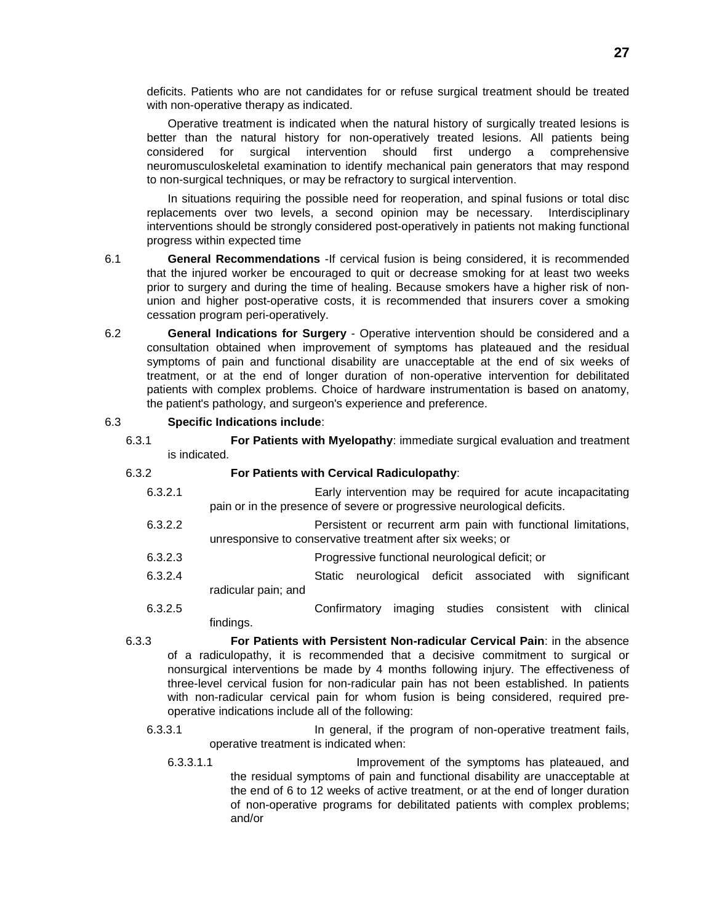deficits. Patients who are not candidates for or refuse surgical treatment should be treated with non-operative therapy as indicated.

Operative treatment is indicated when the natural history of surgically treated lesions is better than the natural history for non-operatively treated lesions. All patients being considered for surgical intervention should first undergo a comprehensive neuromusculoskeletal examination to identify mechanical pain generators that may respond to non-surgical techniques, or may be refractory to surgical intervention.

In situations requiring the possible need for reoperation, and spinal fusions or total disc replacements over two levels, a second opinion may be necessary. Interdisciplinary interventions should be strongly considered post-operatively in patients not making functional progress within expected time

- 6.1 **General Recommendations** -If cervical fusion is being considered, it is recommended that the injured worker be encouraged to quit or decrease smoking for at least two weeks prior to surgery and during the time of healing. Because smokers have a higher risk of nonunion and higher post-operative costs, it is recommended that insurers cover a smoking cessation program peri-operatively.
- 6.2 **General Indications for Surgery** Operative intervention should be considered and a consultation obtained when improvement of symptoms has plateaued and the residual symptoms of pain and functional disability are unacceptable at the end of six weeks of treatment, or at the end of longer duration of non-operative intervention for debilitated patients with complex problems. Choice of hardware instrumentation is based on anatomy, the patient's pathology, and surgeon's experience and preference.

#### 6.3 **Specific Indications include**:

6.3.1 **For Patients with Myelopathy**: immediate surgical evaluation and treatment is indicated.

#### 6.3.2 **For Patients with Cervical Radiculopathy**:

- 6.3.2.1 Early intervention may be required for acute incapacitating pain or in the presence of severe or progressive neurological deficits.
- 6.3.2.2 Persistent or recurrent arm pain with functional limitations, unresponsive to conservative treatment after six weeks; or
- 6.3.2.3 Progressive functional neurological deficit; or
- 6.3.2.4 Static neurological deficit associated with significant radicular pain; and
- 6.3.2.5 Confirmatory imaging studies consistent with clinical findings.
- 6.3.3 **For Patients with Persistent Non-radicular Cervical Pain**: in the absence of a radiculopathy, it is recommended that a decisive commitment to surgical or nonsurgical interventions be made by 4 months following injury. The effectiveness of three-level cervical fusion for non-radicular pain has not been established. In patients with non-radicular cervical pain for whom fusion is being considered, required preoperative indications include all of the following:
	- 6.3.3.1 **In general, if the program of non-operative treatment fails,** operative treatment is indicated when:
		- 6.3.3.1.1 Improvement of the symptoms has plateaued, and the residual symptoms of pain and functional disability are unacceptable at the end of 6 to 12 weeks of active treatment, or at the end of longer duration of non-operative programs for debilitated patients with complex problems; and/or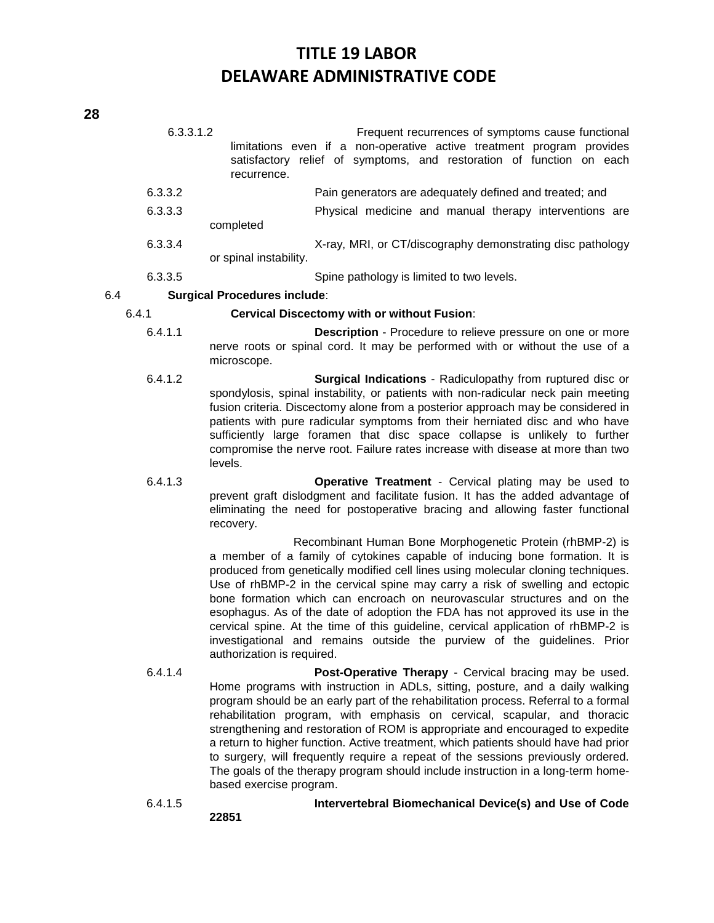| 6.3.3.1.2 | recurrence.            | Frequent recurrences of symptoms cause functional<br>limitations even if a non-operative active treatment program provides<br>satisfactory relief of symptoms, and restoration of function on each |
|-----------|------------------------|----------------------------------------------------------------------------------------------------------------------------------------------------------------------------------------------------|
| 6.3.3.2   |                        | Pain generators are adequately defined and treated; and                                                                                                                                            |
| 6.3.3.3   |                        | Physical medicine and manual therapy interventions are                                                                                                                                             |
|           | completed              |                                                                                                                                                                                                    |
| 6.3.3.4   |                        | X-ray, MRI, or CT/discography demonstrating disc pathology                                                                                                                                         |
|           | or spinal instability. |                                                                                                                                                                                                    |
| 6.3.3.5   |                        | Spine pathology is limited to two levels.                                                                                                                                                          |

### 6.4 **Surgical Procedures include**:

# 6.4.1 **Cervical Discectomy with or without Fusion**:

- 6.4.1.1 **Description**  Procedure to relieve pressure on one or more nerve roots or spinal cord. It may be performed with or without the use of a microscope.
- 6.4.1.2 **Surgical Indications** Radiculopathy from ruptured disc or spondylosis, spinal instability, or patients with non-radicular neck pain meeting fusion criteria. Discectomy alone from a posterior approach may be considered in patients with pure radicular symptoms from their herniated disc and who have sufficiently large foramen that disc space collapse is unlikely to further compromise the nerve root. Failure rates increase with disease at more than two levels.
- 6.4.1.3 **Operative Treatment** Cervical plating may be used to prevent graft dislodgment and facilitate fusion. It has the added advantage of eliminating the need for postoperative bracing and allowing faster functional recovery.

Recombinant Human Bone Morphogenetic Protein (rhBMP-2) is a member of a family of cytokines capable of inducing bone formation. It is produced from genetically modified cell lines using molecular cloning techniques. Use of rhBMP-2 in the cervical spine may carry a risk of swelling and ectopic bone formation which can encroach on neurovascular structures and on the esophagus. As of the date of adoption the FDA has not approved its use in the cervical spine. At the time of this guideline, cervical application of rhBMP-2 is investigational and remains outside the purview of the guidelines. Prior authorization is required.

6.4.1.4 **Post-Operative Therapy** - Cervical bracing may be used. Home programs with instruction in ADLs, sitting, posture, and a daily walking program should be an early part of the rehabilitation process. Referral to a formal rehabilitation program, with emphasis on cervical, scapular, and thoracic strengthening and restoration of ROM is appropriate and encouraged to expedite a return to higher function. Active treatment, which patients should have had prior to surgery, will frequently require a repeat of the sessions previously ordered. The goals of the therapy program should include instruction in a long-term homebased exercise program.

6.4.1.5 **Intervertebral Biomechanical Device(s) and Use of Code**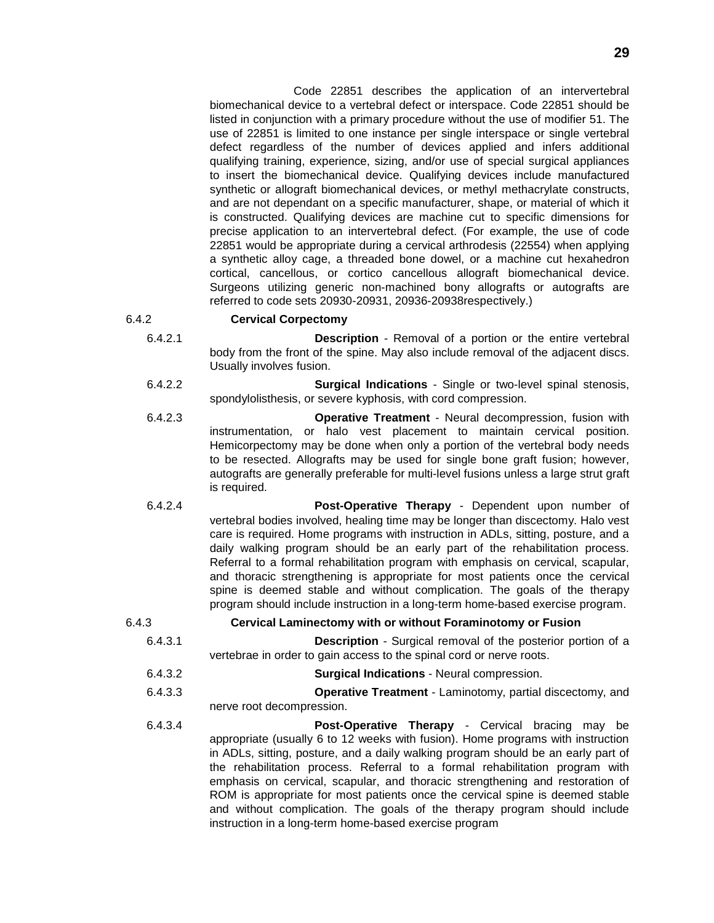Code 22851 describes the application of an intervertebral biomechanical device to a vertebral defect or interspace. Code 22851 should be listed in conjunction with a primary procedure without the use of modifier 51. The use of 22851 is limited to one instance per single interspace or single vertebral defect regardless of the number of devices applied and infers additional qualifying training, experience, sizing, and/or use of special surgical appliances to insert the biomechanical device. Qualifying devices include manufactured synthetic or allograft biomechanical devices, or methyl methacrylate constructs, and are not dependant on a specific manufacturer, shape, or material of which it is constructed. Qualifying devices are machine cut to specific dimensions for precise application to an intervertebral defect. (For example, the use of code 22851 would be appropriate during a cervical arthrodesis (22554) when applying a synthetic alloy cage, a threaded bone dowel, or a machine cut hexahedron cortical, cancellous, or cortico cancellous allograft biomechanical device. Surgeons utilizing generic non-machined bony allografts or autografts are referred to code sets 20930-20931, 20936-20938respectively.)

### 6.4.2 **Cervical Corpectomy**

- 6.4.2.1 **Description** Removal of a portion or the entire vertebral body from the front of the spine. May also include removal of the adjacent discs. Usually involves fusion.
- 6.4.2.2 **Surgical Indications** Single or two-level spinal stenosis, spondylolisthesis, or severe kyphosis, with cord compression.
- 6.4.2.3 **Operative Treatment** Neural decompression, fusion with instrumentation, or halo vest placement to maintain cervical position. Hemicorpectomy may be done when only a portion of the vertebral body needs to be resected. Allografts may be used for single bone graft fusion; however, autografts are generally preferable for multi-level fusions unless a large strut graft is required.
- 6.4.2.4 **Post-Operative Therapy** Dependent upon number of vertebral bodies involved, healing time may be longer than discectomy. Halo vest care is required. Home programs with instruction in ADLs, sitting, posture, and a daily walking program should be an early part of the rehabilitation process. Referral to a formal rehabilitation program with emphasis on cervical, scapular, and thoracic strengthening is appropriate for most patients once the cervical spine is deemed stable and without complication. The goals of the therapy program should include instruction in a long-term home-based exercise program.

### 6.4.3 **Cervical Laminectomy with or without Foraminotomy or Fusion**

- 6.4.3.1 **Description** Surgical removal of the posterior portion of a vertebrae in order to gain access to the spinal cord or nerve roots.
- 6.4.3.2 **Surgical Indications** Neural compression.
- 6.4.3.3 **Operative Treatment** Laminotomy, partial discectomy, and nerve root decompression.
- 6.4.3.4 **Post-Operative Therapy** Cervical bracing may be appropriate (usually 6 to 12 weeks with fusion). Home programs with instruction in ADLs, sitting, posture, and a daily walking program should be an early part of the rehabilitation process. Referral to a formal rehabilitation program with emphasis on cervical, scapular, and thoracic strengthening and restoration of ROM is appropriate for most patients once the cervical spine is deemed stable and without complication. The goals of the therapy program should include instruction in a long-term home-based exercise program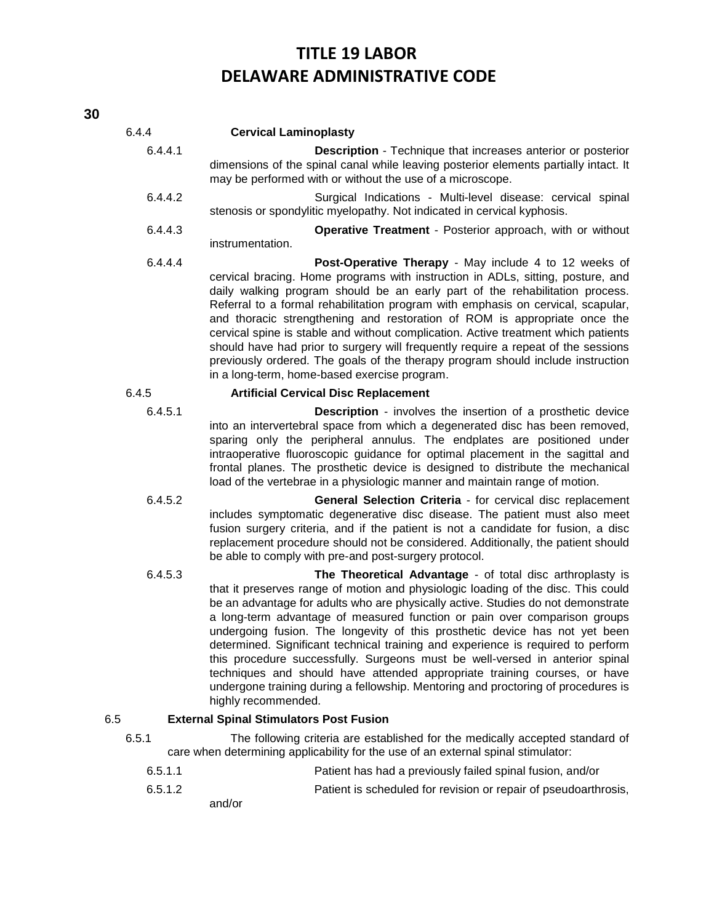| 6.4.4   | <b>Cervical Laminoplasty</b>                                                                                                                                                                                                                                                                                                                                                                                                                                                                                                                                                                                                                                                                                                                                |
|---------|-------------------------------------------------------------------------------------------------------------------------------------------------------------------------------------------------------------------------------------------------------------------------------------------------------------------------------------------------------------------------------------------------------------------------------------------------------------------------------------------------------------------------------------------------------------------------------------------------------------------------------------------------------------------------------------------------------------------------------------------------------------|
| 6.4.4.1 | <b>Description</b> - Technique that increases anterior or posterior<br>dimensions of the spinal canal while leaving posterior elements partially intact. It<br>may be performed with or without the use of a microscope.                                                                                                                                                                                                                                                                                                                                                                                                                                                                                                                                    |
| 6.4.4.2 | Surgical Indications - Multi-level disease: cervical spinal<br>stenosis or spondylitic myelopathy. Not indicated in cervical kyphosis.                                                                                                                                                                                                                                                                                                                                                                                                                                                                                                                                                                                                                      |
| 6.4.4.3 | Operative Treatment - Posterior approach, with or without<br>instrumentation.                                                                                                                                                                                                                                                                                                                                                                                                                                                                                                                                                                                                                                                                               |
| 6.4.4.4 | Post-Operative Therapy - May include 4 to 12 weeks of<br>cervical bracing. Home programs with instruction in ADLs, sitting, posture, and<br>daily walking program should be an early part of the rehabilitation process.<br>Referral to a formal rehabilitation program with emphasis on cervical, scapular,<br>and thoracic strengthening and restoration of ROM is appropriate once the<br>cervical spine is stable and without complication. Active treatment which patients<br>should have had prior to surgery will frequently require a repeat of the sessions<br>previously ordered. The goals of the therapy program should include instruction<br>in a long-term, home-based exercise program.                                                     |
| 6.4.5   | <b>Artificial Cervical Disc Replacement</b>                                                                                                                                                                                                                                                                                                                                                                                                                                                                                                                                                                                                                                                                                                                 |
| 6.4.5.1 | <b>Description</b> - involves the insertion of a prosthetic device<br>into an intervertebral space from which a degenerated disc has been removed,<br>sparing only the peripheral annulus. The endplates are positioned under<br>intraoperative fluoroscopic guidance for optimal placement in the sagittal and<br>frontal planes. The prosthetic device is designed to distribute the mechanical<br>load of the vertebrae in a physiologic manner and maintain range of motion.                                                                                                                                                                                                                                                                            |
| 6.4.5.2 | General Selection Criteria - for cervical disc replacement<br>includes symptomatic degenerative disc disease. The patient must also meet<br>fusion surgery criteria, and if the patient is not a candidate for fusion, a disc<br>replacement procedure should not be considered. Additionally, the patient should<br>be able to comply with pre-and post-surgery protocol.                                                                                                                                                                                                                                                                                                                                                                                  |
| 6.4.5.3 | The Theoretical Advantage - of total disc arthroplasty is<br>that it preserves range of motion and physiologic loading of the disc. This could<br>be an advantage for adults who are physically active. Studies do not demonstrate<br>a long-term advantage of measured function or pain over comparison groups<br>undergoing fusion. The longevity of this prosthetic device has not yet been<br>determined. Significant technical training and experience is required to perform<br>this procedure successfully. Surgeons must be well-versed in anterior spinal<br>techniques and should have attended appropriate training courses, or have<br>undergone training during a fellowship. Mentoring and proctoring of procedures is<br>highly recommended. |
| 6.5     | <b>External Spinal Stimulators Post Fusion</b>                                                                                                                                                                                                                                                                                                                                                                                                                                                                                                                                                                                                                                                                                                              |
| 6.5.1   | The following criteria are established for the medically accepted standard of<br>care when determining applicability for the use of an external spinal stimulator:                                                                                                                                                                                                                                                                                                                                                                                                                                                                                                                                                                                          |
| 6.5.1.1 | Patient has had a previously failed spinal fusion, and/or                                                                                                                                                                                                                                                                                                                                                                                                                                                                                                                                                                                                                                                                                                   |

6.5.1.2 Patient is scheduled for revision or repair of pseudoarthrosis,

and/or